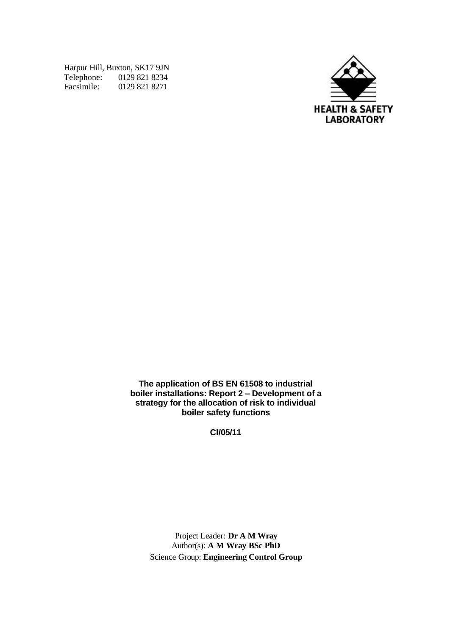Harpur Hill, Buxton, SK17 9JN Telephone: 0129 821 8234 Facsimile: 0129 821 8271



**The application of BS EN 61508 to industrial boiler installations: Report 2 – Development of a strategy for the allocation of risk to individual boiler safety functions**

**CI/05/11**

Project Leader: **Dr A M Wray** Author(s): **A M Wray BSc PhD** Science Group: **Engineering Control Group**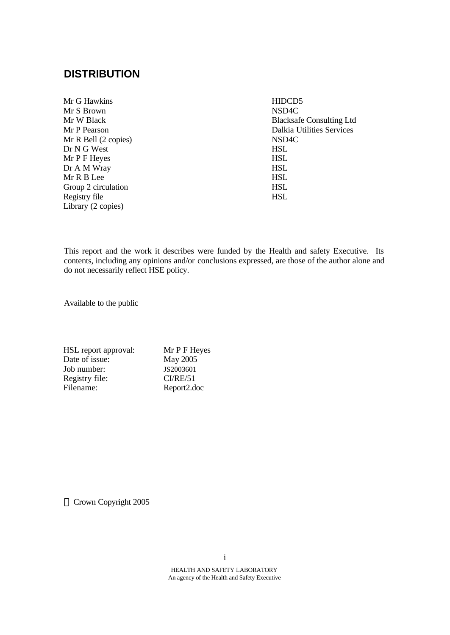# **DISTRIBUTION**

| Mr G Hawkins         | HIDCD <sub>5</sub>               |
|----------------------|----------------------------------|
| Mr S Brown           | NSD <sub>4</sub> C               |
| Mr W Black           | <b>Blacksafe Consulting Ltd</b>  |
| Mr P Pearson         | <b>Dalkia Utilities Services</b> |
| Mr R Bell (2 copies) | NSD <sub>4</sub> C               |
| Dr N G West          | <b>HSL</b>                       |
| Mr P F Heyes         | <b>HSL</b>                       |
| Dr A M Wray          | <b>HSL</b>                       |
| Mr R B Lee           | <b>HSL</b>                       |
| Group 2 circulation  | <b>HSL</b>                       |
| Registry file        | <b>HSL</b>                       |
| Library (2 copies)   |                                  |

This report and the work it describes were funded by the Health and safety Executive. Its contents, including any opinions and/or conclusions expressed, are those of the author alone and do not necessarily reflect HSE policy.

Available to the public

| HSL report approval: | Mr P F Heyes |
|----------------------|--------------|
| Date of issue:       | May 2005     |
| Job number:          | JS2003601    |
| Registry file:       | CI/RE/51     |
| Filename:            | Report2.doc  |

Crown Copyright 2005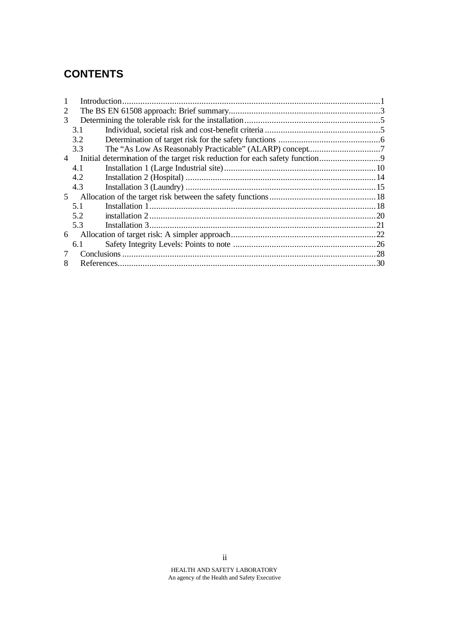# **CONTENTS**

| 3.1            |                                                                             |
|----------------|-----------------------------------------------------------------------------|
| 3.2            |                                                                             |
| 3.3            |                                                                             |
|                |                                                                             |
| 4.1            |                                                                             |
| 4.2            |                                                                             |
| 4.3            |                                                                             |
| 5 <sup>1</sup> |                                                                             |
| 5.1            |                                                                             |
| 5.2            |                                                                             |
| 5.3            |                                                                             |
|                |                                                                             |
| 6.1            |                                                                             |
|                |                                                                             |
|                |                                                                             |
|                | Initial determination of the target risk reduction for each safety function |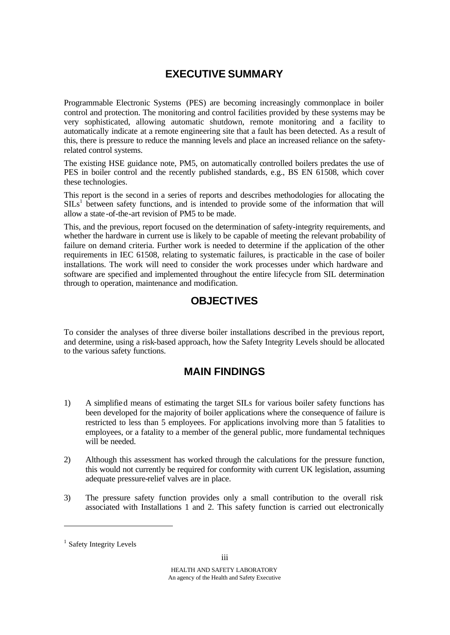# **EXECUTIVE SUMMARY**

Programmable Electronic Systems (PES) are becoming increasingly commonplace in boiler control and protection. The monitoring and control facilities provided by these systems may be very sophisticated, allowing automatic shutdown, remote monitoring and a facility to automatically indicate at a remote engineering site that a fault has been detected. As a result of this, there is pressure to reduce the manning levels and place an increased reliance on the safetyrelated control systems.

The existing HSE guidance note, PM5, on automatically controlled boilers predates the use of PES in boiler control and the recently published standards, e.g., BS EN 61508, which cover these technologies.

This report is the second in a series of reports and describes methodologies for allocating the  $SILs<sup>1</sup>$  between safety functions, and is intended to provide some of the information that will allow a state -of-the-art revision of PM5 to be made.

This, and the previous, report focused on the determination of safety-integrity requirements, and whether the hardware in current use is likely to be capable of meeting the relevant probability of failure on demand criteria. Further work is needed to determine if the application of the other requirements in IEC 61508, relating to systematic failures, is practicable in the case of boiler installations. The work will need to consider the work processes under which hardware and software are specified and implemented throughout the entire lifecycle from SIL determination through to operation, maintenance and modification.

# **OBJECTIVES**

To consider the analyses of three diverse boiler installations described in the previous report, and determine, using a risk-based approach, how the Safety Integrity Levels should be allocated to the various safety functions.

# **MAIN FINDINGS**

- 1) A simplified means of estimating the target SILs for various boiler safety functions has been developed for the majority of boiler applications where the consequence of failure is restricted to less than 5 employees. For applications involving more than 5 fatalities to employees, or a fatality to a member of the general public, more fundamental techniques will be needed.
- 2) Although this assessment has worked through the calculations for the pressure function, this would not currently be required for conformity with current UK legislation, assuming adequate pressure-relief valves are in place.
- 3) The pressure safety function provides only a small contribution to the overall risk associated with Installations 1 and 2. This safety function is carried out electronically

l

<sup>&</sup>lt;sup>1</sup> Safety Integrity Levels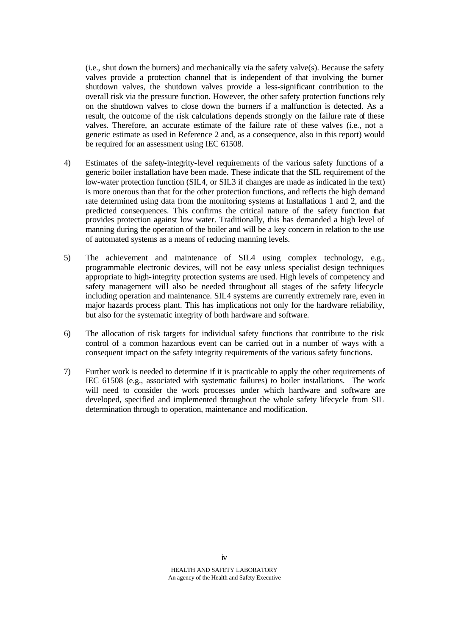$(i.e.,$  shut down the burners) and mechanically via the safety valve $(s)$ . Because the safety valves provide a protection channel that is independent of that involving the burner shutdown valves, the shutdown valves provide a less-significant contribution to the overall risk via the pressure function. However, the other safety protection functions rely on the shutdown valves to close down the burners if a malfunction is detected. As a result, the outcome of the risk calculations depends strongly on the failure rate of these valves. Therefore, an accurate estimate of the failure rate of these valves (i.e., not a generic estimate as used in Reference 2 and, as a consequence, also in this report) would be required for an assessment using IEC 61508.

- 4) Estimates of the safety-integrity-level requirements of the various safety functions of a generic boiler installation have been made. These indicate that the SIL requirement of the low-water protection function (SIL4, or SIL3 if changes are made as indicated in the text) is more onerous than that for the other protection functions, and reflects the high demand rate determined using data from the monitoring systems at Installations 1 and 2, and the predicted consequences. This confirms the critical nature of the safety function that provides protection against low water. Traditionally, this has demanded a high level of manning during the operation of the boiler and will be a key concern in relation to the use of automated systems as a means of reducing manning levels.
- 5) The achievement and maintenance of SIL4 using complex technology, e.g., programmable electronic devices, will not be easy unless specialist design techniques appropriate to high-integrity protection systems are used. High levels of competency and safety management will also be needed throughout all stages of the safety lifecycle including operation and maintenance. SIL4 systems are currently extremely rare, even in major hazards process plant. This has implications not only for the hardware reliability, but also for the systematic integrity of both hardware and software.
- 6) The allocation of risk targets for individual safety functions that contribute to the risk control of a common hazardous event can be carried out in a number of ways with a consequent impact on the safety integrity requirements of the various safety functions.
- 7) Further work is needed to determine if it is practicable to apply the other requirements of IEC 61508 (e.g., associated with systematic failures) to boiler installations. The work will need to consider the work processes under which hardware and software are developed, specified and implemented throughout the whole safety lifecycle from SIL determination through to operation, maintenance and modification.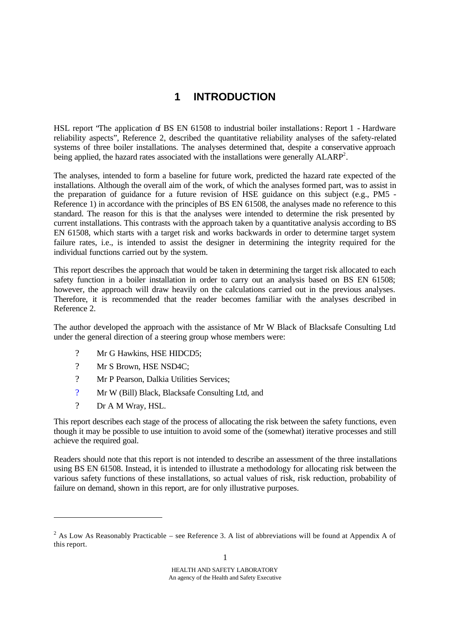# **1 INTRODUCTION**

HSL report 'The application of BS EN 61508 to industrial boiler installations: Report 1 - Hardware reliability aspects", Reference 2, described the quantitative reliability analyses of the safety-related systems of three boiler installations. The analyses determined that, despite a conservative approach being applied, the hazard rates associated with the installations were generally  $ALARP^2$ .

The analyses, intended to form a baseline for future work, predicted the hazard rate expected of the installations. Although the overall aim of the work, of which the analyses formed part, was to assist in the preparation of guidance for a future revision of HSE guidance on this subject (e.g., PM5 - Reference 1) in accordance with the principles of BS EN 61508, the analyses made no reference to this standard. The reason for this is that the analyses were intended to determine the risk presented by current installations. This contrasts with the approach taken by a quantitative analysis according to BS EN 61508, which starts with a target risk and works backwards in order to determine target system failure rates, i.e., is intended to assist the designer in determining the integrity required for the individual functions carried out by the system.

This report describes the approach that would be taken in determining the target risk allocated to each safety function in a boiler installation in order to carry out an analysis based on BS EN 61508; however, the approach will draw heavily on the calculations carried out in the previous analyses. Therefore, it is recommended that the reader becomes familiar with the analyses described in Reference 2.

The author developed the approach with the assistance of Mr W Black of Blacksafe Consulting Ltd under the general direction of a steering group whose members were:

- ? Mr G Hawkins, HSE HIDCD5;
- ? Mr S Brown, HSE NSD4C;
- ? Mr P Pearson, Dalkia Utilities Services;
- ? Mr W (Bill) Black, Blacksafe Consulting Ltd, and
- ? Dr A M Wray, HSL.

l

This report describes each stage of the process of allocating the risk between the safety functions, even though it may be possible to use intuition to avoid some of the (somewhat) iterative processes and still achieve the required goal.

Readers should note that this report is not intended to describe an assessment of the three installations using BS EN 61508. Instead, it is intended to illustrate a methodology for allocating risk between the various safety functions of these installations, so actual values of risk, risk reduction, probability of failure on demand, shown in this report, are for only illustrative purposes.

<sup>&</sup>lt;sup>2</sup> As Low As Reasonably Practicable – see Reference 3. A list of abbreviations will be found at Appendix A of this report.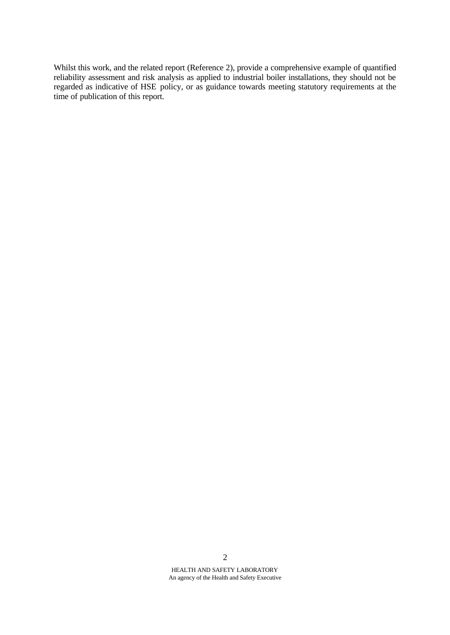Whilst this work, and the related report (Reference 2), provide a comprehensive example of quantified reliability assessment and risk analysis as applied to industrial boiler installations, they should not be regarded as indicative of HSE policy, or as guidance towards meeting statutory requirements at the time of publication of this report.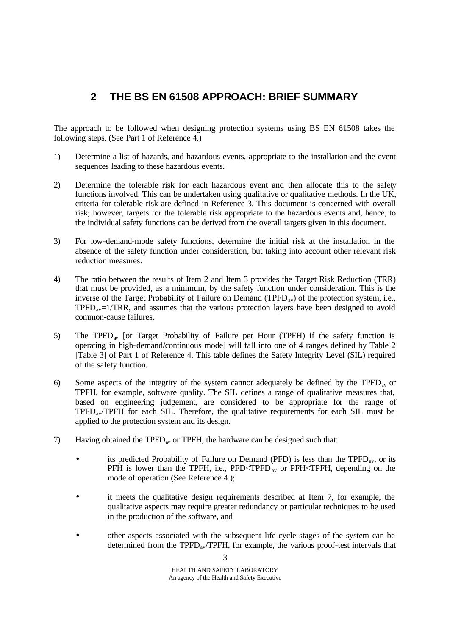# **2 THE BS EN 61508 APPROACH: BRIEF SUMMARY**

The approach to be followed when designing protection systems using BS EN 61508 takes the following steps. (See Part 1 of Reference 4.)

- 1) Determine a list of hazards, and hazardous events, appropriate to the installation and the event sequences leading to these hazardous events.
- 2) Determine the tolerable risk for each hazardous event and then allocate this to the safety functions involved. This can be undertaken using qualitative or qualitative methods. In the UK, criteria for tolerable risk are defined in Reference 3. This document is concerned with overall risk; however, targets for the tolerable risk appropriate to the hazardous events and, hence, to the individual safety functions can be derived from the overall targets given in this document.
- 3) For low-demand-mode safety functions, determine the initial risk at the installation in the absence of the safety function under consideration, but taking into account other relevant risk reduction measures.
- 4) The ratio between the results of Item 2 and Item 3 provides the Target Risk Reduction (TRR) that must be provided, as a minimum, by the safety function under consideration. This is the inverse of the Target Probability of Failure on Demand (TPFD<sub>av</sub>) of the protection system, i.e.,  $TPPD<sub>av</sub>=1/TRR$ , and assumes that the various protection layers have been designed to avoid common-cause failures.
- 5) The TPFD<sub>av</sub> [or Target Probability of Failure per Hour (TPFH) if the safety function is operating in high-demand/continuous mode] will fall into one of 4 ranges defined by Table 2 [Table 3] of Part 1 of Reference 4. This table defines the Safety Integrity Level (SIL) required of the safety function.
- 6) Some aspects of the integrity of the system cannot adequately be defined by the TPFD<sub>av</sub> or TPFH, for example, software quality. The SIL defines a range of qualitative measures that, based on engineering judgement, are considered to be appropriate for the range of TPFDav/TPFH for each SIL. Therefore, the qualitative requirements for each SIL must be applied to the protection system and its design.
- 7) Having obtained the TPFD<sub>av</sub> or TPFH, the hardware can be designed such that:
	- its predicted Probability of Failure on Demand (PFD) is less than the  $\text{TPFD}_{av}$ , or its PFH is lower than the TPFH, i.e.,  $PFD < TPP$ <sub>av</sub> or  $PFH < TPFH$ , depending on the mode of operation (See Reference 4.);
	- it meets the qualitative design requirements described at Item 7, for example, the qualitative aspects may require greater redundancy or particular techniques to be used in the production of the software, and
	- other aspects associated with the subsequent life-cycle stages of the system can be determined from the TPFD<sub>av</sub>/TPFH, for example, the various proof-test intervals that

3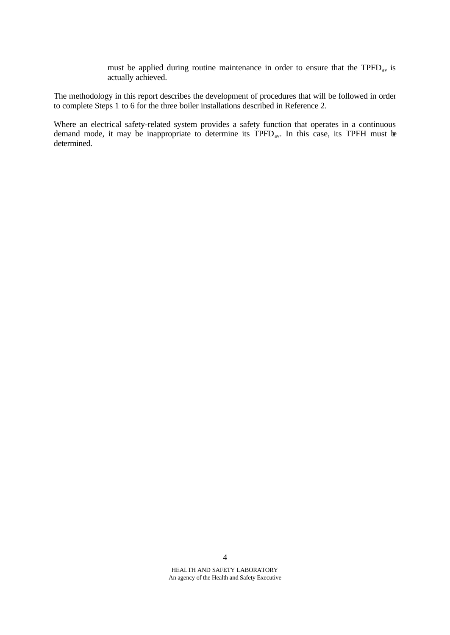must be applied during routine maintenance in order to ensure that the TPFD<sub>av</sub> is actually achieved.

The methodology in this report describes the development of procedures that will be followed in order to complete Steps 1 to 6 for the three boiler installations described in Reference 2.

Where an electrical safety-related system provides a safety function that operates in a continuous demand mode, it may be inappropriate to determine its TPFD<sub>av</sub>. In this case, its TPFH must be determined.

4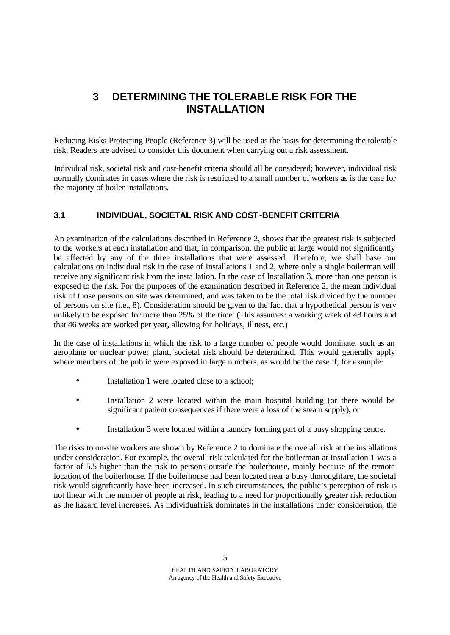# **3 DETERMINING THE TOLERABLE RISK FOR THE INSTALLATION**

Reducing Risks Protecting People (Reference 3) will be used as the basis for determining the tolerable risk. Readers are advised to consider this document when carrying out a risk assessment.

Individual risk, societal risk and cost-benefit criteria should all be considered; however, individual risk normally dominates in cases where the risk is restricted to a small number of workers as is the case for the majority of boiler installations.

## **3.1 INDIVIDUAL, SOCIETAL RISK AND COST-BENEFIT CRITERIA**

An examination of the calculations described in Reference 2, shows that the greatest risk is subjected to the workers at each installation and that, in comparison, the public at large would not significantly be affected by any of the three installations that were assessed. Therefore, we shall base our calculations on individual risk in the case of Installations 1 and 2, where only a single boilerman will receive any significant risk from the installation. In the case of Installation 3, more than one person is exposed to the risk. For the purposes of the examination described in Reference 2, the mean individual risk of those persons on site was determined, and was taken to be the total risk divided by the number of persons on site (i.e., 8). Consideration should be given to the fact that a hypothetical person is very unlikely to be exposed for more than 25% of the time. (This assumes: a working week of 48 hours and that 46 weeks are worked per year, allowing for holidays, illness, etc.)

In the case of installations in which the risk to a large number of people would dominate, such as an aeroplane or nuclear power plant, societal risk should be determined. This would generally apply where members of the public were exposed in large numbers, as would be the case if, for example:

- Installation 1 were located close to a school;
- Installation 2 were located within the main hospital building (or there would be significant patient consequences if there were a loss of the steam supply), or
- Installation 3 were located within a laundry forming part of a busy shopping centre.

The risks to on-site workers are shown by Reference 2 to dominate the overall risk at the installations under consideration. For example, the overall risk calculated for the boilerman at Installation 1 was a factor of 5.5 higher than the risk to persons outside the boilerhouse, mainly because of the remote location of the boilerhouse. If the boilerhouse had been located near a busy thoroughfare, the societal risk would significantly have been increased. In such circumstances, the public's perception of risk is not linear with the number of people at risk, leading to a need for proportionally greater risk reduction as the hazard level increases. As individual risk dominates in the installations under consideration, the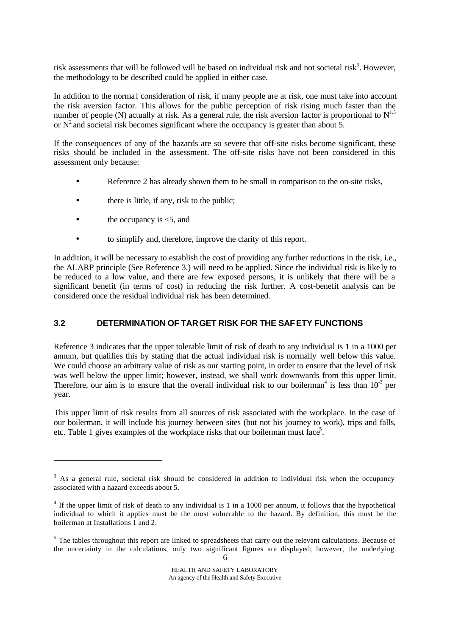risk assessments that will be followed will be based on individual risk and not societal risk<sup>3</sup>. However, the methodology to be described could be applied in either case.

In addition to the normal consideration of risk, if many people are at risk, one must take into account the risk aversion factor. This allows for the public perception of risk rising much faster than the number of people (N) actually at risk. As a general rule, the risk aversion factor is proportional to  $N^{1.5}$ or  $N^2$  and societal risk becomes significant where the occupancy is greater than about 5.

If the consequences of any of the hazards are so severe that off-site risks become significant, these risks should be included in the assessment. The off-site risks have not been considered in this assessment only because:

- Reference 2 has already shown them to be small in comparison to the on-site risks,
- there is little, if any, risk to the public;
- the occupancy is  $\leq 5$ , and

l

• to simplify and, therefore, improve the clarity of this report.

In addition, it will be necessary to establish the cost of providing any further reductions in the risk, i.e., the ALARP principle (See Reference 3.) will need to be applied. Since the individual risk is like ly to be reduced to a low value, and there are few exposed persons, it is unlikely that there will be a significant benefit (in terms of cost) in reducing the risk further. A cost-benefit analysis can be considered once the residual individual risk has been determined.

### **3.2 DETERMINATION OF TARGET RISK FOR THE SAFETY FUNCTIONS**

Reference 3 indicates that the upper tolerable limit of risk of death to any individual is 1 in a 1000 per annum, but qualifies this by stating that the actual individual risk is normally well below this value. We could choose an arbitrary value of risk as our starting point, in order to ensure that the level of risk was well below the upper limit; however, instead, we shall work downwards from this upper limit. Therefore, our aim is to ensure that the overall individual risk to our boilerman<sup>4</sup> is less than  $10^{-3}$  per year.

This upper limit of risk results from all sources of risk associated with the workplace. In the case of our boilerman, it will include his journey between sites (but not his journey to work), trips and falls, etc. Table 1 gives examples of the workplace risks that our boilerman must face<sup>5</sup>.

 $3$  As a general rule, societal risk should be considered in addition to individual risk when the occupancy associated with a hazard exceeds about 5.

 $4$  If the upper limit of risk of death to any individual is 1 in a 1000 per annum, it follows that the hypothetical individual to which it applies must be the most vulnerable to the hazard. By definition, this must be the boilerman at Installations 1 and 2.

 $<sup>5</sup>$  The tables throughout this report are linked to spreadsheets that carry out the relevant calculations. Because of</sup> the uncertainty in the calculations, only two significant figures are displayed; however, the underlying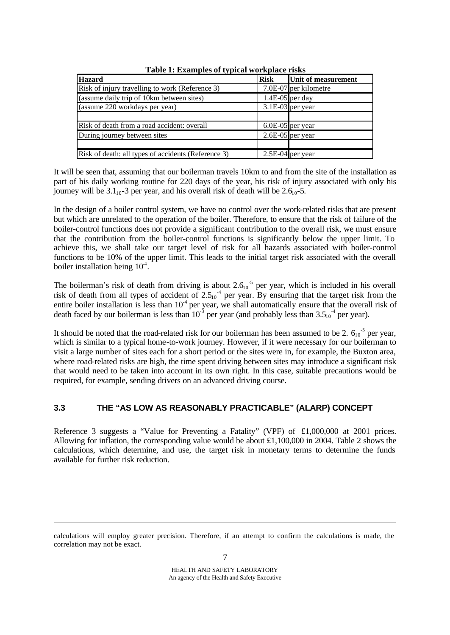| <b>Hazard</b>                                       | <b>Risk</b>       | Unit of measurement   |
|-----------------------------------------------------|-------------------|-----------------------|
| Risk of injury travelling to work (Reference 3)     |                   | 7.0E-07 per kilometre |
| (assume daily trip of 10km between sites)           | $1.4E-05$ per day |                       |
| (assume 220 workdays per year)                      |                   | $3.1E-03$ per year    |
|                                                     |                   |                       |
| Risk of death from a road accident: overall         |                   | $6.0E-05$ per year    |
| During journey between sites                        |                   | $2.6E-05$ per year    |
|                                                     |                   |                       |
| Risk of death: all types of accidents (Reference 3) |                   | $2.5E-04$ per year    |

**Table 1: Examples of typical workplace risks**

It will be seen that, assuming that our boilerman travels 10km to and from the site of the installation as part of his daily working routine for 220 days of the year, his risk of injury associated with only his journey will be  $3.1_{10}$ -3 per year, and his overall risk of death will be  $2.6_{10}$ -5.

In the design of a boiler control system, we have no control over the work-related risks that are present but which are unrelated to the operation of the boiler. Therefore, to ensure that the risk of failure of the boiler-control functions does not provide a significant contribution to the overall risk, we must ensure that the contribution from the boiler-control functions is significantly below the upper limit. To achieve this, we shall take our target level of risk for all hazards associated with boiler-control functions to be 10% of the upper limit. This leads to the initial target risk associated with the overall boiler installation being  $10^4$ .

The boilerman's risk of death from driving is about  $2.6<sub>10</sub>$ <sup>-5</sup> per year, which is included in his overall risk of death from all types of accident of  $2.5_{10}$ <sup>-4</sup> per year. By ensuring that the target risk from the entire boiler installation is less than  $10<sup>4</sup>$  per year, we shall automatically ensure that the overall risk of death faced by our boilerman is less than  $10^{-3}$  per year (and probably less than  $3.5_{10}$ <sup>-4</sup> per year).

It should be noted that the road-related risk for our boilerman has been assumed to be 2.  $6_{10}$ <sup>-5</sup> per year, which is similar to a typical home-to-work journey. However, if it were necessary for our boilerman to visit a large number of sites each for a short period or the sites were in, for example, the Buxton area, where road-related risks are high, the time spent driving between sites may introduce a significant risk that would need to be taken into account in its own right. In this case, suitable precautions would be required, for example, sending drivers on an advanced driving course.

## **3.3 THE "AS LOW AS REASONABLY PRACTICABLE" (ALARP) CONCEPT**

Reference 3 suggests a "Value for Preventing a Fatality" (VPF) of £1,000,000 at 2001 prices. Allowing for inflation, the corresponding value would be about £1,100,000 in 2004. Table 2 shows the calculations, which determine, and use, the target risk in monetary terms to determine the funds available for further risk reduction.

l

calculations will employ greater precision. Therefore, if an attempt to confirm the calculations is made, the correlation may not be exact.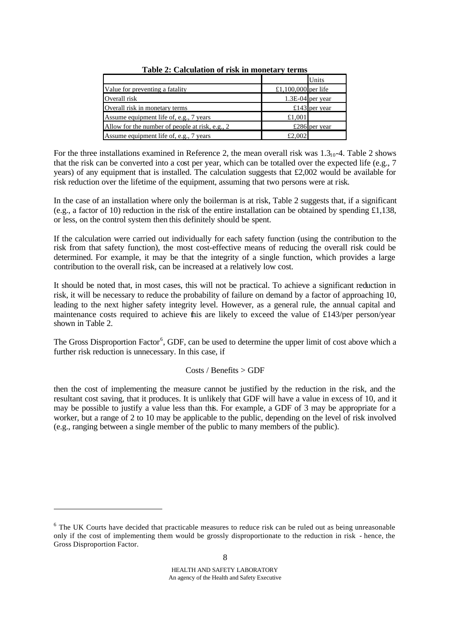|                                                 |                     | Units            |
|-------------------------------------------------|---------------------|------------------|
| Value for preventing a fatality                 | £1,100,000 per life |                  |
| Overall risk                                    |                     | 1.3E-04 per year |
| Overall risk in monetary terms                  |                     | £143 per year    |
| Assume equipment life of, e.g., 7 years         | £1,001              |                  |
| Allow for the number of people at risk, e.g., 2 |                     | £286 per year    |
| Assume equipment life of, e.g., 7 years         | £2,002              |                  |

**Table 2: Calculation of risk in monetary terms**

For the three installations examined in Reference 2, the mean overall risk was  $1.3<sub>10</sub>$ -4. Table 2 shows that the risk can be converted into a cost per year, which can be totalled over the expected life (e.g., 7 years) of any equipment that is installed. The calculation suggests that £2,002 would be available for risk reduction over the lifetime of the equipment, assuming that two persons were at risk.

In the case of an installation where only the boilerman is at risk, Table 2 suggests that, if a significant (e.g., a factor of 10) reduction in the risk of the entire installation can be obtained by spending £1,138, or less, on the control system then this definitely should be spent.

If the calculation were carried out individually for each safety function (using the contribution to the risk from that safety function), the most cost-effective means of reducing the overall risk could be determined. For example, it may be that the integrity of a single function, which provides a large contribution to the overall risk, can be increased at a relatively low cost.

It should be noted that, in most cases, this will not be practical. To achieve a significant reduction in risk, it will be necessary to reduce the probability of failure on demand by a factor of approaching 10, leading to the next higher safety integrity level. However, as a general rule, the annual capital and maintenance costs required to achieve this are likely to exceed the value of £143/per person/year shown in Table 2.

The Gross Disproportion Factor<sup>6</sup>, GDF, can be used to determine the upper limit of cost above which a further risk reduction is unnecessary. In this case, if

#### Costs / Benefits > GDF

then the cost of implementing the measure cannot be justified by the reduction in the risk, and the resultant cost saving, that it produces. It is unlikely that GDF will have a value in excess of 10, and it may be possible to justify a value less than this. For example, a GDF of 3 may be appropriate for a worker, but a range of 2 to 10 may be applicable to the public, depending on the level of risk involved (e.g., ranging between a single member of the public to many members of the public).

l

<sup>&</sup>lt;sup>6</sup> The UK Courts have decided that practicable measures to reduce risk can be ruled out as being unreasonable only if the cost of implementing them would be grossly disproportionate to the reduction in risk - hence, the Gross Disproportion Factor.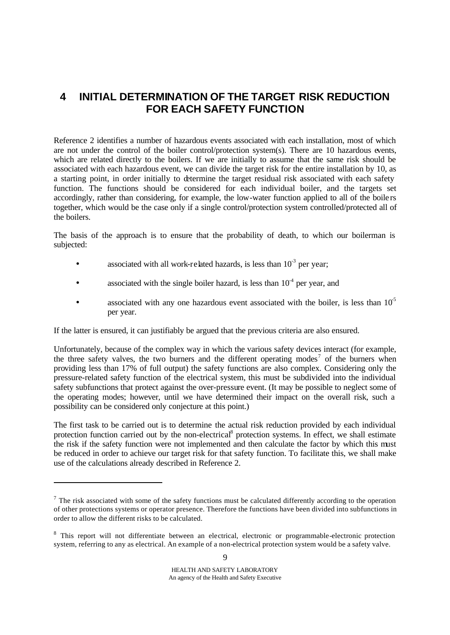# **4 INITIAL DETERMINATION OF THE TARGET RISK REDUCTION FOR EACH SAFETY FUNCTION**

Reference 2 identifies a number of hazardous events associated with each installation, most of which are not under the control of the boiler control/protection system(s). There are 10 hazardous events, which are related directly to the boilers. If we are initially to assume that the same risk should be associated with each hazardous event, we can divide the target risk for the entire installation by 10, as a starting point, in order initially to determine the target residual risk associated with each safety function. The functions should be considered for each individual boiler, and the targets set accordingly, rather than considering, for example, the low-water function applied to all of the boile rs together, which would be the case only if a single control/protection system controlled/protected all of the boilers.

The basis of the approach is to ensure that the probability of death, to which our boilerman is subjected:

- associated with all work-related hazards, is less than  $10^{-3}$  per year;
- associated with the single boiler hazard, is less than  $10<sup>-4</sup>$  per year, and
- associated with any one hazardous event associated with the boiler, is less than  $10<sup>5</sup>$ per year.

If the latter is ensured, it can justifiably be argued that the previous criteria are also ensured.

Unfortunately, because of the complex way in which the various safety devices interact (for example, the three safety valves, the two burners and the different operating modes<sup>7</sup> of the burners when providing less than 17% of full output) the safety functions are also complex. Considering only the pressure-related safety function of the electrical system, this must be subdivided into the individual safety subfunctions that protect against the over-pressure event. (It may be possible to neglect some of the operating modes; however, until we have determined their impact on the overall risk, such a possibility can be considered only conjecture at this point.)

The first task to be carried out is to determine the actual risk reduction provided by each individual protection function carried out by the non-electrical<sup>8</sup> protection systems. In effect, we shall estimate the risk if the safety function were not implemented and then calculate the factor by which this must be reduced in order to achieve our target risk for that safety function. To facilitate this, we shall make use of the calculations already described in Reference 2.

l

 $\alpha$ 

 $<sup>7</sup>$  The risk associated with some of the safety functions must be calculated differently according to the operation</sup> of other protections systems or operator presence. Therefore the functions have been divided into subfunctions in order to allow the different risks to be calculated.

<sup>&</sup>lt;sup>8</sup> This report will not differentiate between an electrical, electronic or programmable-electronic protection system, referring to any as electrical. An example of a non-electrical protection system would be a safety valve.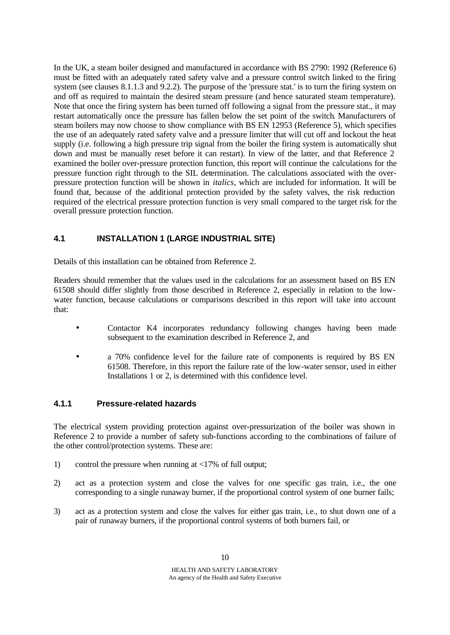In the UK, a steam boiler designed and manufactured in accordance with BS 2790: 1992 (Reference 6) must be fitted with an adequately rated safety valve and a pressure control switch linked to the firing system (see clauses 8.1.1.3 and 9.2.2). The purpose of the 'pressure stat.' is to turn the firing system on and off as required to maintain the desired steam pressure (and hence saturated steam temperature). Note that once the firing system has been turned off following a signal from the pressure stat., it may restart automatically once the pressure has fallen below the set point of the switch. Manufacturers of steam boilers may now choose to show compliance with BS EN 12953 (Reference 5), which specifies the use of an adequately rated safety valve and a pressure limiter that will cut off and lockout the heat supply (i.e. following a high pressure trip signal from the boiler the firing system is automatically shut down and must be manually reset before it can restart). In view of the latter, and that Reference 2 examined the boiler over-pressure protection function, this report will continue the calculations for the pressure function right through to the SIL determination. The calculations associated with the overpressure protection function will be shown in *italics,* which are included for information. It will be found that, because of the additional protection provided by the safety valves, the risk reduction required of the electrical pressure protection function is very small compared to the target risk for the overall pressure protection function.

## **4.1 INSTALLATION 1 (LARGE INDUSTRIAL SITE)**

Details of this installation can be obtained from Reference 2.

Readers should remember that the values used in the calculations for an assessment based on BS EN 61508 should differ slightly from those described in Reference 2, especially in relation to the lowwater function, because calculations or comparisons described in this report will take into account that:

- Contactor K4 incorporates redundancy following changes having been made subsequent to the examination described in Reference 2, and
- a 70% confidence level for the failure rate of components is required by BS EN 61508. Therefore, in this report the failure rate of the low-water sensor, used in either Installations 1 or 2, is determined with this confidence level.

### **4.1.1 Pressure-related hazards**

The electrical system providing protection against over-pressurization of the boiler was shown in Reference 2 to provide a number of safety sub-functions according to the combinations of failure of the other control/protection systems. These are:

- 1) control the pressure when running at <17% of full output;
- 2) act as a protection system and close the valves for one specific gas train, i.e., the one corresponding to a single runaway burner, if the proportional control system of one burner fails;
- 3) act as a protection system and close the valves for either gas train, i.e., to shut down one of a pair of runaway burners, if the proportional control systems of both burners fail, or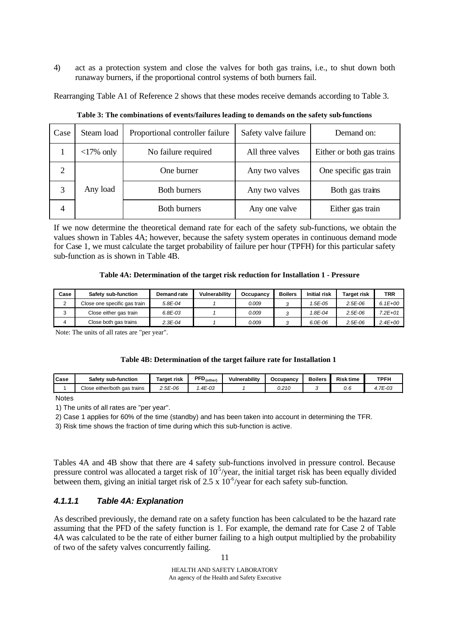4) act as a protection system and close the valves for both gas trains, i.e., to shut down both runaway burners, if the proportional control systems of both burners fail.

Rearranging Table A1 of Reference 2 shows that these modes receive demands according to Table 3.

| Case | Steam load                          | Proportional controller failure | Safety valve failure | Demand on:                |
|------|-------------------------------------|---------------------------------|----------------------|---------------------------|
|      | $\langle 17\% \text{ only} \rangle$ | No failure required             | All three valves     | Either or both gas trains |
| 2    |                                     | One burner                      | Any two valves       | One specific gas train    |
| 3    | Any load                            | <b>Both burners</b>             | Any two valves       | Both gas trains           |
| 4    |                                     | <b>Both burners</b>             | Any one valve        | Either gas train          |

**Table 3: The combinations of events/failures leading to demands on the safety sub-functions**

If we now determine the theoretical demand rate for each of the safety sub-functions, we obtain the values shown in Tables 4A; however, because the safety system operates in continuous demand mode for Case 1, we must calculate the target probability of failure per hour (TPFH) for this particular safety sub-function as is shown in Table 4B.

#### **Table 4A: Determination of the target risk reduction for Installation 1 - Pressure**

| Case | Safety sub-function          | Demand rate | Vulnerability | Occupancy | <b>Boilers</b> | <b>Initial risk</b> | <b>Target risk</b> | TRR         |
|------|------------------------------|-------------|---------------|-----------|----------------|---------------------|--------------------|-------------|
|      | Close one specific gas train | $5.8E - 04$ |               | 0.009     |                | 1.5E-05             | $2.5E-06$          | $6.1E + 00$ |
|      | Close either gas train       | 6.8E-03     |               | 0.009     |                | 1.8E-04             | $2.5E-06$          | 7.2E+01     |
|      | Close both gas trains        | 2.3E-04     |               | 0.009     |                | 6.0E-06             | $2.5E-06$          | $2.4E + 00$ |

Note: The units of all rates are "per year".

#### **Table 4B: Determination of the target failure rate for Installation 1**

| lCase | <b>Safety sub-function</b>           | <b>⊺ar</b> ɑet risk | $\text{PFD}_{\text{(other)}}$ | Vulnerabilitv | Occupancy | <b>Boilers</b> | <b>Risk time</b> | TPFH   |
|-------|--------------------------------------|---------------------|-------------------------------|---------------|-----------|----------------|------------------|--------|
|       | Close<br>either/both ؛<br>gas trains | 2.5E-06             | .4E-03                        |               | 0.210     |                | v.c              | .7E-03 |

**Notes** 

1) The units of all rates are "per year".

2) Case 1 applies for 60% of the time (standby) and has been taken into account in determining the TFR.

3) Risk time shows the fraction of time during which this sub-function is active.

Tables 4A and 4B show that there are 4 safety sub-functions involved in pressure control. Because pressure control was allocated a target risk of  $10^5$ /year, the initial target risk has been equally divided between them, giving an initial target risk of  $2.5 \times 10^{-6}$ /year for each safety sub-function.

## *4.1.1.1 Table 4A: Explanation*

As described previously, the demand rate on a safety function has been calculated to be the hazard rate assuming that the PFD of the safety function is 1. For example, the demand rate for Case 2 of Table 4A was calculated to be the rate of either burner failing to a high output multiplied by the probability of two of the safety valves concurrently failing.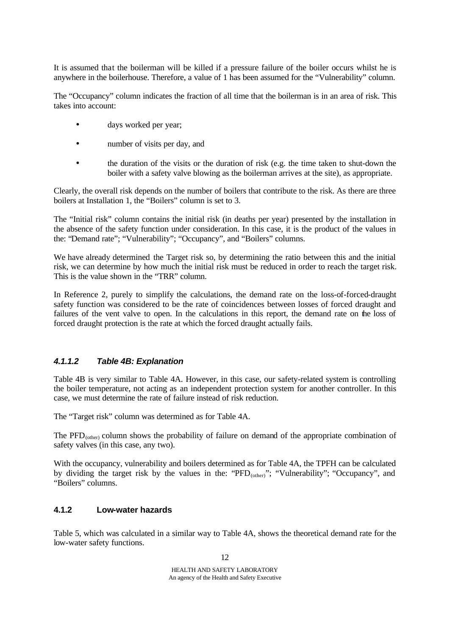It is assumed that the boilerman will be killed if a pressure failure of the boiler occurs whilst he is anywhere in the boilerhouse. Therefore, a value of 1 has been assumed for the "Vulnerability" column.

The "Occupancy" column indicates the fraction of all time that the boilerman is in an area of risk. This takes into account:

- days worked per year;
- number of visits per day, and
- the duration of the visits or the duration of risk (e.g. the time taken to shut-down the boiler with a safety valve blowing as the boilerman arrives at the site), as appropriate.

Clearly, the overall risk depends on the number of boilers that contribute to the risk. As there are three boilers at Installation 1, the "Boilers" column is set to 3.

The "Initial risk" column contains the initial risk (in deaths per year) presented by the installation in the absence of the safety function under consideration. In this case, it is the product of the values in the: "Demand rate"; "Vulnerability"; "Occupancy", and "Boilers" columns.

We have already determined the Target risk so, by determining the ratio between this and the initial risk, we can determine by how much the initial risk must be reduced in order to reach the target risk. This is the value shown in the "TRR" column.

In Reference 2, purely to simplify the calculations, the demand rate on the loss-of-forced-draught safety function was considered to be the rate of coincidences between losses of forced draught and failures of the vent valve to open. In the calculations in this report, the demand rate on the loss of forced draught protection is the rate at which the forced draught actually fails.

### *4.1.1.2 Table 4B: Explanation*

Table 4B is very similar to Table 4A. However, in this case, our safety-related system is controlling the boiler temperature, not acting as an independent protection system for another controller. In this case, we must determine the rate of failure instead of risk reduction.

The "Target risk" column was determined as for Table 4A.

The PFD<sub>(other)</sub> column shows the probability of failure on demand of the appropriate combination of safety valves (in this case, any two).

With the occupancy, vulnerability and boilers determined as for Table 4A, the TPFH can be calculated by dividing the target risk by the values in the: "PFD<sub>(other</sub>)"; "Vulnerability"; "Occupancy", and "Boilers" columns.

### **4.1.2 Low-water hazards**

Table 5, which was calculated in a similar way to Table 4A, shows the theoretical demand rate for the low-water safety functions.

12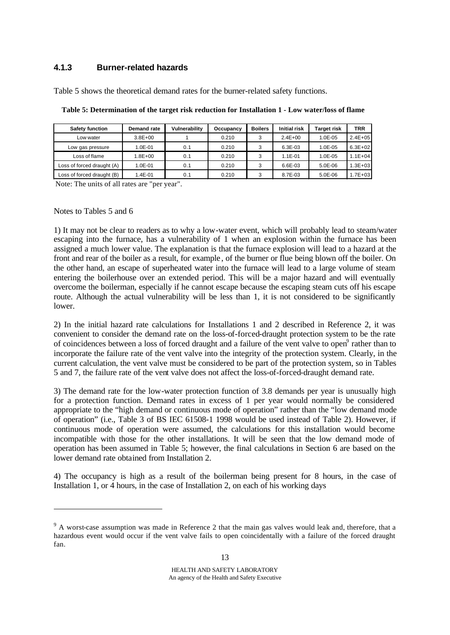## **4.1.3 Burner-related hazards**

Table 5 shows the theoretical demand rates for the burner-related safety functions.

| <b>Safety function</b>     | Demand rate | Vulnerability | Occupancy | <b>Boilers</b> | <b>Initial risk</b> | Target risk  | <b>TRR</b>  |
|----------------------------|-------------|---------------|-----------|----------------|---------------------|--------------|-------------|
| Low water                  | $3.8E + 00$ |               | 0.210     | 3              | $2.4E + 00$         | $1.0E - 0.5$ | $2.4E + 05$ |
| Low gas pressure           | $1.0E - 01$ | 0.1           | 0.210     | 3              | $6.3E-03$           | $1.0E - 0.5$ | $6.3E + 02$ |
| Loss of flame              | $1.8E + 00$ | 0.1           | 0.210     | 3              | $1.1E - 01$         | $1.0E - 0.5$ | $1.1E + 04$ |
| Loss of forced draught (A) | 1.0E-01     | 0.1           | 0.210     | 3              | 6.6E-03             | 5.0E-06      | $.3E+03$    |
| Loss of forced draught (B) | 1.4E-01     | 0.1           | 0.210     | 3              | 8.7E-03             | $5.0E - 06$  | $1.7E + 03$ |

**Table 5: Determination of the target risk reduction for Installation 1 - Low water/loss of flame**

Note: The units of all rates are "per year".

#### Notes to Tables 5 and 6

l

1) It may not be clear to readers as to why a low-water event, which will probably lead to steam/water escaping into the furnace, has a vulnerability of 1 when an explosion within the furnace has been assigned a much lower value. The explanation is that the furnace explosion will lead to a hazard at the front and rear of the boiler as a result, for example , of the burner or flue being blown off the boiler. On the other hand, an escape of superheated water into the furnace will lead to a large volume of steam entering the boilerhouse over an extended period. This will be a major hazard and will eventually overcome the boilerman, especially if he cannot escape because the escaping steam cuts off his escape route. Although the actual vulnerability will be less than 1, it is not considered to be significantly lower.

2) In the initial hazard rate calculations for Installations 1 and 2 described in Reference 2, it was convenient to consider the demand rate on the loss-of-forced-draught protection system to be the rate of coincidences between a loss of forced draught and a failure of the vent valve to open<sup>9</sup> rather than to incorporate the failure rate of the vent valve into the integrity of the protection system. Clearly, in the current calculation, the vent valve must be considered to be part of the protection system, so in Tables 5 and 7, the failure rate of the vent valve does not affect the loss-of-forced-draught demand rate.

3) The demand rate for the low-water protection function of 3.8 demands per year is unusually high for a protection function. Demand rates in excess of 1 per year would normally be considered appropriate to the "high demand or continuous mode of operation" rather than the "low demand mode of operation" (i.e., Table 3 of BS IEC 61508-1 1998 would be used instead of Table 2). However, if continuous mode of operation were assumed, the calculations for this installation would become incompatible with those for the other installations. It will be seen that the low demand mode of operation has been assumed in Table 5; however, the final calculations in Section 6 are based on the lower demand rate obtained from Installation 2.

4) The occupancy is high as a result of the boilerman being present for 8 hours, in the case of Installation 1, or 4 hours, in the case of Installation 2, on each of his working days

 $9<sup>9</sup>$  A worst-case assumption was made in Reference 2 that the main gas valves would leak and, therefore, that a hazardous event would occur if the vent valve fails to open coincidentally with a failure of the forced draught fan.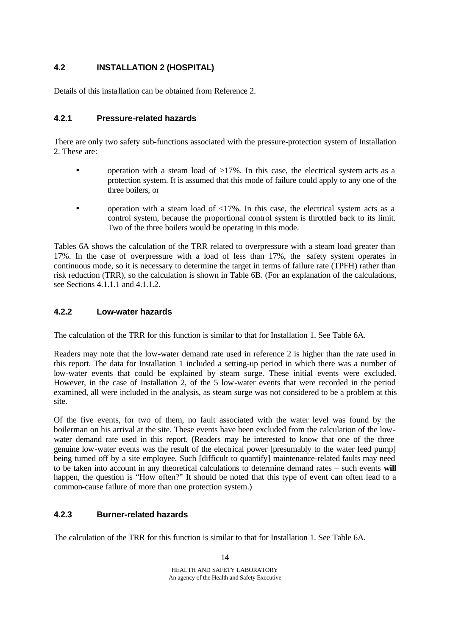## **4.2 INSTALLATION 2 (HOSPITAL)**

Details of this insta llation can be obtained from Reference 2.

## **4.2.1 Pressure-related hazards**

There are only two safety sub-functions associated with the pressure-protection system of Installation 2. These are:

- operation with a steam load of  $>17\%$ . In this case, the electrical system acts as a protection system. It is assumed that this mode of failure could apply to any one of the three boilers, or
- operation with a steam load of  $\langle 17\% \rangle$ . In this case, the electrical system acts as a control system, because the proportional control system is throttled back to its limit. Two of the three boilers would be operating in this mode.

Tables 6A shows the calculation of the TRR related to overpressure with a steam load greater than 17%. In the case of overpressure with a load of less than 17%, the safety system operates in continuous mode, so it is necessary to determine the target in terms of failure rate (TPFH) rather than risk reduction (TRR), so the calculation is shown in Table 6B. (For an explanation of the calculations, see Sections 4.1.1.1 and 4.1.1.2.

## **4.2.2 Low-water hazards**

The calculation of the TRR for this function is similar to that for Installation 1. See Table 6A.

Readers may note that the low-water demand rate used in reference 2 is higher than the rate used in this report. The data for Installation 1 included a setting-up period in which there was a number of low-water events that could be explained by steam surge. These initial events were excluded. However, in the case of Installation 2, of the 5 low-water events that were recorded in the period examined, all were included in the analysis, as steam surge was not considered to be a problem at this site.

Of the five events, for two of them, no fault associated with the water level was found by the boilerman on his arrival at the site. These events have been excluded from the calculation of the lowwater demand rate used in this report. (Readers may be interested to know that one of the three genuine low-water events was the result of the electrical power [presumably to the water feed pump] being turned off by a site employee. Such [difficult to quantify] maintenance-related faults may need to be taken into account in any theoretical calculations to determine demand rates – such events **will** happen, the question is "How often?" It should be noted that this type of event can often lead to a common-cause failure of more than one protection system.)

## **4.2.3 Burner-related hazards**

The calculation of the TRR for this function is similar to that for Installation 1. See Table 6A.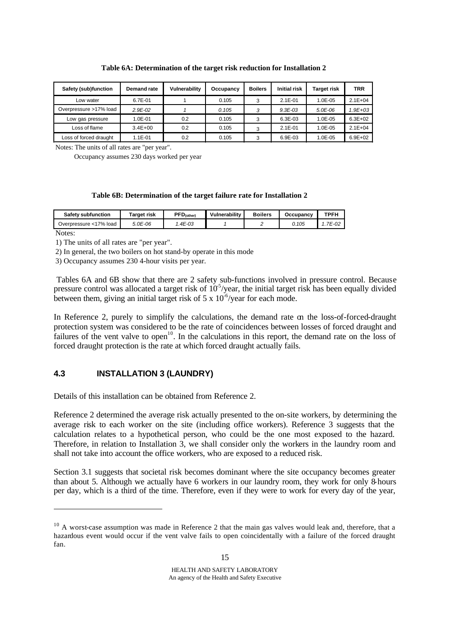| Safety (sub)function   | Demand rate | Vulnerability | Occupancy | <b>Boilers</b> | <b>Initial risk</b> | Target risk  | <b>TRR</b>  |
|------------------------|-------------|---------------|-----------|----------------|---------------------|--------------|-------------|
| ∟ow water              | 6.7E-01     |               | 0.105     | 3              | $2.1E - 01$         | $1.0E - 0.5$ | $2.1E + 04$ |
| Overpressure >17% load | $2.9E - 02$ |               | 0.105     | 3              | $9.3E - 0.3$        | $5.0E - 06$  | $1.9E + 03$ |
| Low gas pressure       | $1.0E - 01$ | 0.2           | 0.105     | 3              | $6.3E - 0.3$        | $1.0E - 0.5$ | $6.3E + 02$ |
| Loss of flame          | $3.4E + 00$ | 0.2           | 0.105     |                | $2.1E - 01$         | 1.0E-05      | $2.1E + 04$ |
| Loss of forced draught | $1.1E - 01$ | 0.2           | 0.105     |                | 6.9E-03             | 1.0E-05      | $6.9E + 02$ |

#### **Table 6A: Determination of the target risk reduction for Installation 2**

Notes: The units of all rates are "per year".

Occupancy assumes 230 days worked per year

#### **Table 6B: Determination of the target failure rate for Installation 2**

| <b>Safety subfunction</b> | <b>Target risk</b> | PFD <sub>(other)</sub> | Vulnerability | <b>Boilers</b> | Occupancv | <b>TPFH</b> |
|---------------------------|--------------------|------------------------|---------------|----------------|-----------|-------------|
| Overpressure <17% load    | 5.0E-06            | .4E-03                 |               |                | 0.105     | 7E-02       |

Notes:

l

1) The units of all rates are "per year".

2) In general, the two boilers on hot stand-by operate in this mode

3) Occupancy assumes 230 4-hour visits per year.

 Tables 6A and 6B show that there are 2 safety sub-functions involved in pressure control. Because pressure control was allocated a target risk of  $10^{-5}/year$ , the initial target risk has been equally divided between them, giving an initial target risk of  $5 \times 10^{-6}$ /year for each mode.

In Reference 2, purely to simplify the calculations, the demand rate on the loss-of-forced-draught protection system was considered to be the rate of coincidences between losses of forced draught and failures of the vent valve to open<sup>10</sup>. In the calculations in this report, the demand rate on the loss of forced draught protection is the rate at which forced draught actually fails.

#### **4.3 INSTALLATION 3 (LAUNDRY)**

Details of this installation can be obtained from Reference 2.

Reference 2 determined the average risk actually presented to the on-site workers, by determining the average risk to each worker on the site (including office workers). Reference 3 suggests that the calculation relates to a hypothetical person, who could be the one most exposed to the hazard. Therefore, in relation to Installation 3, we shall consider only the workers in the laundry room and shall not take into account the office workers, who are exposed to a reduced risk.

Section 3.1 suggests that societal risk becomes dominant where the site occupancy becomes greater than about 5. Although we actually have 6 workers in our laundry room, they work for only 8-hours per day, which is a third of the time. Therefore, even if they were to work for every day of the year,

 $10$  A worst-case assumption was made in Reference 2 that the main gas valves would leak and, therefore, that a hazardous event would occur if the vent valve fails to open coincidentally with a failure of the forced draught fan.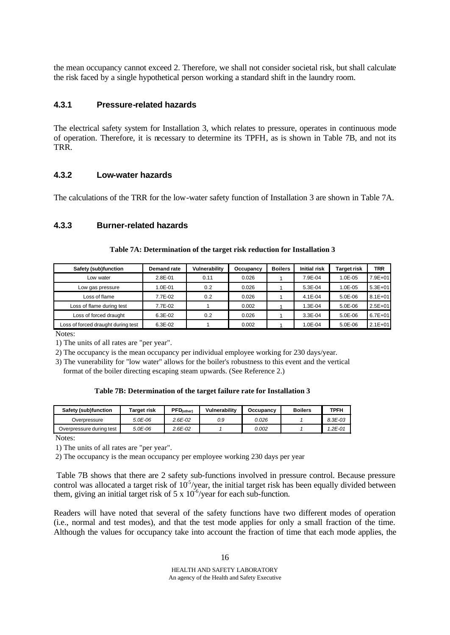the mean occupancy cannot exceed 2. Therefore, we shall not consider societal risk, but shall calculate the risk faced by a single hypothetical person working a standard shift in the laundry room.

### **4.3.1 Pressure-related hazards**

The electrical safety system for Installation 3, which relates to pressure, operates in continuous mode of operation. Therefore, it is necessary to determine its TPFH, as is shown in Table 7B, and not its TRR.

### **4.3.2 Low-water hazards**

The calculations of the TRR for the low-water safety function of Installation 3 are shown in Table 7A.

### **4.3.3 Burner-related hazards**

| Safety (sub)function               | <b>Demand rate</b> | Vulnerability | Occupancy | <b>Boilers</b> | <b>Initial risk</b> | Target risk | <b>TRR</b>  |
|------------------------------------|--------------------|---------------|-----------|----------------|---------------------|-------------|-------------|
| Low water                          | 2.8E-01            | 0.11          | 0.026     |                | 7.9E-04             | 1.0E-05     | 7.9E+01     |
| Low gas pressure                   | 1.0E-01            | 0.2           | 0.026     |                | 5.3E-04             | 1.0E-05     | $5.3E + 01$ |
| Loss of flame                      | 7.7E-02            | 0.2           | 0.026     |                | $4.1E - 04$         | $5.0E - 06$ | $8.1E + 01$ |
| Loss of flame during test          | 7.7E-02            |               | 0.002     |                | 1.3E-04             | 5.0E-06     | $2.5E + 01$ |
| Loss of forced draught             | 6.3E-02            | 0.2           | 0.026     |                | $3.3E - 04$         | 5.0E-06     | $6.7E + 01$ |
| Loss of forced draught during test | 6.3E-02            |               | 0.002     |                | $1.0E - 04$         | 5.0E-06     | $2.1E+01$   |

#### **Table 7A: Determination of the target risk reduction for Installation 3**

Notes:

1) The units of all rates are "per year".

2) The occupancy is the mean occupancy per individual employee working for 230 days/year.

3) The vunerability for "low water" allows for the boiler's robustness to this event and the vertical

format of the boiler directing escaping steam upwards. (See Reference 2.)

#### **Table 7B: Determination of the target failure rate for Installation 3**

| Safety (sub)function     | Target risk | PFD <sub>(other)</sub> | Vulnerability | Occupancy | <b>Boilers</b> | <b>TPFH</b>  |
|--------------------------|-------------|------------------------|---------------|-----------|----------------|--------------|
| Overpressure             | 5.0E-06     | $2.6E - 02$            | 0.9           | 0.026     |                | $8.3E - 0.3$ |
| Overpressure during test | 5.0E-06     | $2.6E - 02$            |               | 0.002     |                | $1.2E - 01$  |

Notes:

1) The units of all rates are "per year".

2) The occupancy is the mean occupancy per employee working 230 days per year

 Table 7B shows that there are 2 safety sub-functions involved in pressure control. Because pressure control was allocated a target risk of  $10<sup>5</sup>/year$ , the initial target risk has been equally divided between them, giving an initial target risk of  $5 \times 10^{-6}$ /year for each sub-function.

Readers will have noted that several of the safety functions have two different modes of operation (i.e., normal and test modes), and that the test mode applies for only a small fraction of the time. Although the values for occupancy take into account the fraction of time that each mode applies, the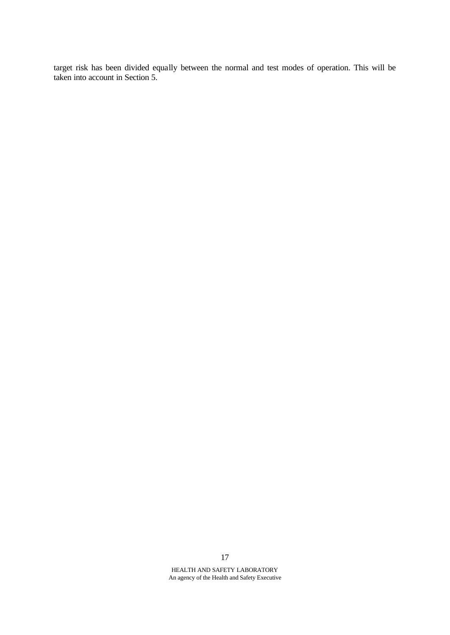target risk has been divided equally between the normal and test modes of operation. This will be taken into account in Section 5.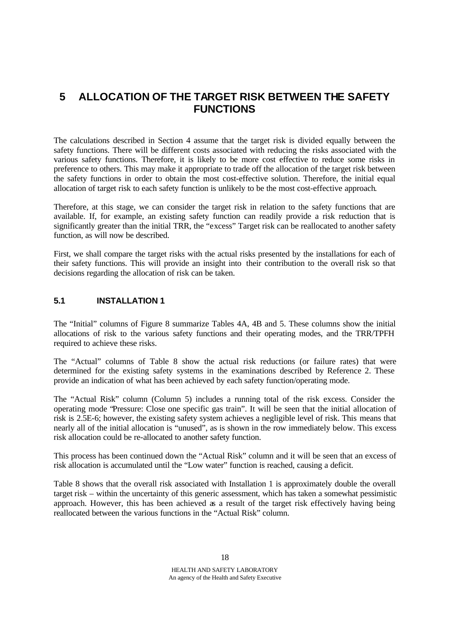# **5 ALLOCATION OF THE TARGET RISK BETWEEN THE SAFETY FUNCTIONS**

The calculations described in Section 4 assume that the target risk is divided equally between the safety functions. There will be different costs associated with reducing the risks associated with the various safety functions. Therefore, it is likely to be more cost effective to reduce some risks in preference to others. This may make it appropriate to trade off the allocation of the target risk between the safety functions in order to obtain the most cost-effective solution. Therefore, the initial equal allocation of target risk to each safety function is unlikely to be the most cost-effective approach.

Therefore, at this stage, we can consider the target risk in relation to the safety functions that are available. If, for example, an existing safety function can readily provide a risk reduction that is significantly greater than the initial TRR, the "excess" Target risk can be reallocated to another safety function, as will now be described.

First, we shall compare the target risks with the actual risks presented by the installations for each of their safety functions. This will provide an insight into their contribution to the overall risk so that decisions regarding the allocation of risk can be taken.

### **5.1 INSTALLATION 1**

The "Initial" columns of Figure 8 summarize Tables 4A, 4B and 5. These columns show the initial allocations of risk to the various safety functions and their operating modes, and the TRR/TPFH required to achieve these risks.

The "Actual" columns of Table 8 show the actual risk reductions (or failure rates) that were determined for the existing safety systems in the examinations described by Reference 2. These provide an indication of what has been achieved by each safety function/operating mode.

The "Actual Risk" column (Column 5) includes a running total of the risk excess. Consider the operating mode "Pressure: Close one specific gas train". It will be seen that the initial allocation of risk is 2.5E-6; however, the existing safety system achieves a negligible level of risk. This means that nearly all of the initial allocation is "unused", as is shown in the row immediately below. This excess risk allocation could be re-allocated to another safety function.

This process has been continued down the "Actual Risk" column and it will be seen that an excess of risk allocation is accumulated until the "Low water" function is reached, causing a deficit.

Table 8 shows that the overall risk associated with Installation 1 is approximately double the overall target risk – within the uncertainty of this generic assessment, which has taken a somewhat pessimistic approach. However, this has been achieved as a result of the target risk effectively having being reallocated between the various functions in the "Actual Risk" column.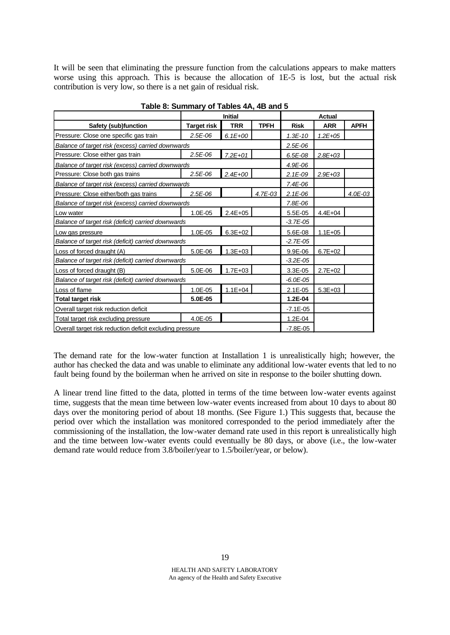It will be seen that eliminating the pressure function from the calculations appears to make matters worse using this approach. This is because the allocation of 1E-5 is lost, but the actual risk contribution is very low, so there is a net gain of residual risk.

|                                                          |                    | <b>Initial</b> |             |               | <b>Actual</b> |             |  |
|----------------------------------------------------------|--------------------|----------------|-------------|---------------|---------------|-------------|--|
| <b>Safety (sub)function</b>                              | <b>Target risk</b> | <b>TRR</b>     | <b>TPFH</b> | <b>Risk</b>   | <b>ARR</b>    | <b>APFH</b> |  |
| Pressure: Close one specific gas train                   | $2.5E-06$          | $6.1E + 00$    |             | $1.3E - 10$   | $1.2E + 0.5$  |             |  |
| Balance of target risk (excess) carried downwards        |                    |                |             | 2.5E-06       |               |             |  |
| Pressure: Close either gas train                         | $2.5E-06$          | $7.2E + 01$    |             | $6.5E-08$     | $2.8E + 03$   |             |  |
| Balance of target risk (excess) carried downwards        |                    |                |             | 4.9E-06       |               |             |  |
| Pressure: Close both gas trains                          | $2.5E-06$          | $2.4E + 00$    |             | $2.1E-09$     | $2.9E + 03$   |             |  |
| Balance of target risk (excess) carried downwards        |                    |                |             | $7.4E-06$     |               |             |  |
| Pressure: Close either/both gas trains                   | $2.5E-06$          |                | 4.7E-03     | $2.1E-06$     |               | 4.0E-03     |  |
| Balance of target risk (excess) carried downwards        |                    |                |             | 7.8E-06       |               |             |  |
| Low water                                                | 1.0E-05            | $2.4E + 05$    |             | 5.5E-05       | $4.4E + 04$   |             |  |
| Balance of target risk (deficit) carried downwards       |                    |                |             | $-3.7E - 05$  |               |             |  |
| Low gas pressure                                         | 1.0E-05            | $6.3E + 02$    |             | 5.6E-08       | $1.1E + 05$   |             |  |
| Balance of target risk (deficit) carried downwards       |                    |                |             | $-2.7E - 0.5$ |               |             |  |
| Loss of forced draught (A)                               | 5.0E-06            | $1.3E + 03$    |             | 9.9E-06       | $6.7E + 02$   |             |  |
| Balance of target risk (deficit) carried downwards       |                    |                |             | $-3.2E - 0.5$ |               |             |  |
| Loss of forced draught (B)                               | 5.0E-06            | $1.7E + 03$    |             | 3.3E-05       | $2.7E + 02$   |             |  |
| Balance of target risk (deficit) carried downwards       |                    | $-6.0E - 05$   |             |               |               |             |  |
| Loss of flame                                            | 1.0E-05            | $1.1E + 04$    |             | $2.1E-05$     | $5.3E + 03$   |             |  |
| <b>Total target risk</b>                                 | 5.0E-05            |                |             | 1.2E-04       |               |             |  |
| Overall target risk reduction deficit                    | $-7.1E - 05$       |                |             |               |               |             |  |
| Total target risk excluding pressure                     | 4.0E-05            |                |             | 1.2E-04       |               |             |  |
| Overall target risk reduction deficit excluding pressure | $-7.8E - 05$       |                |             |               |               |             |  |

**Table 8: Summary of Tables 4A, 4B and 5**

The demand rate for the low-water function at Installation 1 is unrealistically high; however, the author has checked the data and was unable to eliminate any additional low-water events that led to no fault being found by the boilerman when he arrived on site in response to the boiler shutting down.

A linear trend line fitted to the data, plotted in terms of the time between low-water events against time, suggests that the mean time between low-water events increased from about 10 days to about 80 days over the monitoring period of about 18 months. (See Figure 1.) This suggests that, because the period over which the installation was monitored corresponded to the period immediately after the commissioning of the installation, the low-water demand rate used in this report is unrealistically high and the time between low-water events could eventually be 80 days, or above (i.e., the low-water demand rate would reduce from 3.8/boiler/year to 1.5/boiler/year, or below).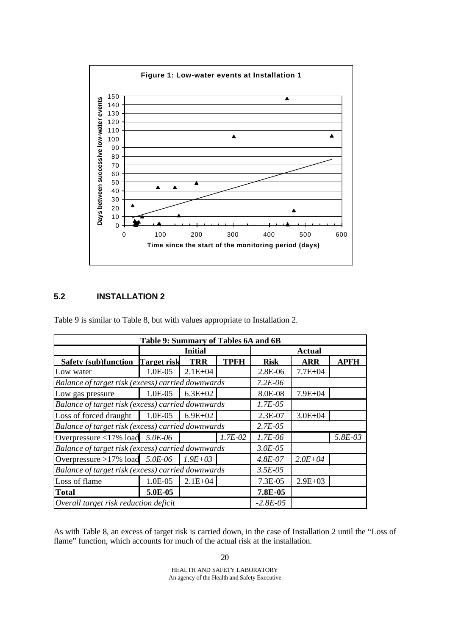

## **5.2 INSTALLATION 2**

Table 9 is similar to Table 8, but with values appropriate to Installation 2.

| Table 9: Summary of Tables 6A and 6B              |           |                |               |               |             |             |  |  |
|---------------------------------------------------|-----------|----------------|---------------|---------------|-------------|-------------|--|--|
|                                                   |           | <b>Initial</b> |               | <b>Actual</b> |             |             |  |  |
| <b>Safety (sub)function Target risk</b>           |           | <b>TRR</b>     | <b>TPFH</b>   | <b>Risk</b>   | <b>ARR</b>  | <b>APFH</b> |  |  |
| Low water                                         | 1.0E-05   | $2.1E + 04$    |               | 2.8E-06       | $7.7E + 04$ |             |  |  |
| Balance of target risk (excess) carried downwards |           |                |               | $7.2E-06$     |             |             |  |  |
| Low gas pressure                                  | 1.0E-05   | $6.3E + 02$    |               | 8.0E-08       | $7.9E + 04$ |             |  |  |
| Balance of target risk (excess) carried downwards |           |                |               | $1.7E-0.5$    |             |             |  |  |
| Loss of forced draught                            | 1.0E-05   | $6.9E + 02$    |               | 2.3E-07       | $3.0E + 04$ |             |  |  |
| Balance of target risk (excess) carried downwards |           |                |               | $2.7E-0.5$    |             |             |  |  |
| Overpressure <17% load                            | 5.0E-06   |                | $1.7E-02$     | $1.7E-06$     |             | $5.8E-03$   |  |  |
| Balance of target risk (excess) carried downwards |           |                |               | $3.0E-05$     |             |             |  |  |
| Overpressure >17% load $5.0E-06$                  |           | $1.9E + 03$    |               | $4.8E - 07$   | $2.0E + 04$ |             |  |  |
| Balance of target risk (excess) carried downwards | $3.5E-05$ |                |               |               |             |             |  |  |
| Loss of flame                                     | 1.0E-05   | $2.1E + 04$    |               | $7.3E-05$     | $2.9E + 03$ |             |  |  |
| <b>Total</b>                                      | 5.0E-05   |                |               | 7.8E-05       |             |             |  |  |
| Overall target risk reduction deficit             |           |                | $-2.8E - 0.5$ |               |             |             |  |  |

As with Table 8, an excess of target risk is carried down, in the case of Installation 2 until the "Loss of flame" function, which accounts for much of the actual risk at the installation.

20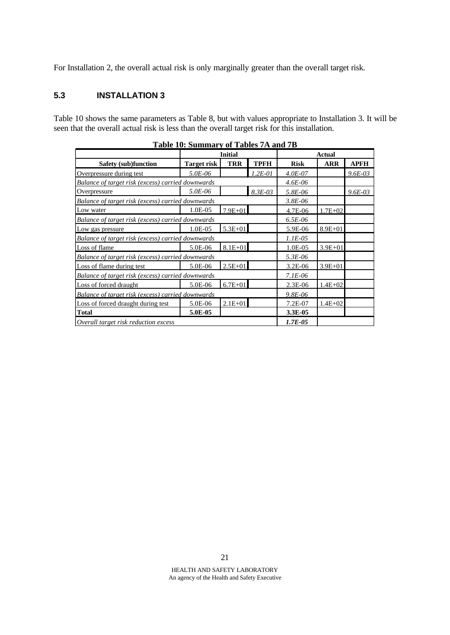For Installation 2, the overall actual risk is only marginally greater than the overall target risk.

## **5.3 INSTALLATION 3**

Table 10 shows the same parameters as Table 8, but with values appropriate to Installation 3. It will be seen that the overall actual risk is less than the overall target risk for this installation.

|                                                   |                    | <b>Initial</b> |             | <b>Actual</b> |             |             |  |
|---------------------------------------------------|--------------------|----------------|-------------|---------------|-------------|-------------|--|
| <b>Safety (sub)function</b>                       | <b>Target risk</b> | <b>TRR</b>     | <b>TPFH</b> | <b>Risk</b>   | <b>ARR</b>  | <b>APFH</b> |  |
| Overpressure during test                          | 5.0E-06            |                | $1.2E-01$   | $4.0E - 07$   |             | $9.6E - 03$ |  |
| Balance of target risk (excess) carried downwards |                    |                |             | $4.6E - 06$   |             |             |  |
| Overpressure                                      | 5.0E-06            |                | $8.3E - 03$ | $5.8E - 06$   |             | $9.6E - 03$ |  |
| Balance of target risk (excess) carried downwards |                    |                |             | $3.8E - 06$   |             |             |  |
| Low water                                         | 1.0E-05            | $7.9E + 01$    |             | 4.7E-06       | $1.7E + 02$ |             |  |
| Balance of target risk (excess) carried downwards |                    |                |             | $6.5E-06$     |             |             |  |
| Low gas pressure                                  | 1.0E-05            | $5.3E + 01$    |             | 5.9E-06       | $8.9E + 01$ |             |  |
| Balance of target risk (excess) carried downwards |                    |                |             | $1.1E-05$     |             |             |  |
| Loss of flame                                     | 5.0E-06            | $8.1E + 01$    |             | 1.0E-05       | $3.9E + 01$ |             |  |
| Balance of target risk (excess) carried downwards |                    |                |             | $5.3E-06$     |             |             |  |
| Loss of flame during test                         | 5.0E-06            | $2.5E + 01$    |             | $3.2E-06$     | $3.9E + 01$ |             |  |
| Balance of target risk (excess) carried downwards |                    |                |             | $7.1E-06$     |             |             |  |
| Loss of forced draught                            | 5.0E-06            | $6.7E + 01$    |             | 2.3E-06       | $1.4E + 02$ |             |  |
| Balance of target risk (excess) carried downwards |                    |                | $9.8E - 06$ |               |             |             |  |
| Loss of forced draught during test                | 5.0E-06            | $2.1E + 01$    |             | 7.2E-07       | $1.4E + 02$ |             |  |
| <b>Total</b>                                      | $5.0E-0.5$         |                |             | $3.3E-0.5$    |             |             |  |
| Overall target risk reduction excess              | $1.7E - 0.5$       |                |             |               |             |             |  |

| Table 10: Summary of Tables 7A and 7B |  |
|---------------------------------------|--|
|---------------------------------------|--|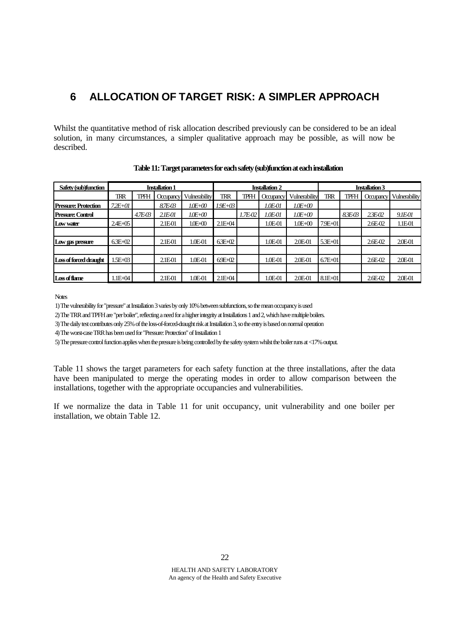# **6 ALLOCATION OF TARGET RISK: A SIMPLER APPROACH**

Whilst the quantitative method of risk allocation described previously can be considered to be an ideal solution, in many circumstances, a simpler qualitative approach may be possible, as will now be described.

| Safety (sub)function     | <b>Installation 1</b> |        |                    | <b>Installation 2</b> |             |         |                    | <b>Installation 3</b> |             |         |                    |                   |
|--------------------------|-----------------------|--------|--------------------|-----------------------|-------------|---------|--------------------|-----------------------|-------------|---------|--------------------|-------------------|
|                          | TRR                   | TPFH   | Occupancy          | Vulnerability         | <b>TRR</b>  | TPFH    | Occupancy          | Vulnerability         | <b>TRR</b>  | TPFH    | Occupancy          | Vulnerability     |
| Pressure: Protection     | $7.2E + 01$           |        | 87E-03             | $10E+00$              | $1.9E + 03$ |         | 1.0E-01            | $1.0E + 0.0$          |             |         |                    |                   |
| <b>Pressure: Control</b> |                       | 4.7E03 | 2.1 <i>E-01</i>    | 1.0E+00               |             | 1.7E-02 | 1.0E-01            | $1.0E + 00$           |             | 8.3E-03 | 2.3E <sub>02</sub> | 9.1E-01           |
| Low water                | $2.4E + 05$           |        | 2.1E01             | $1.0E + 0.0$          | $2.1E+04$   |         | 1.0E <sub>01</sub> | $1.0E + 00$           | $7.9E + 01$ |         | 2.6E <sub>02</sub> | 1.1E-01           |
|                          |                       |        |                    |                       |             |         |                    |                       |             |         |                    |                   |
| Low gas pressure         | $6.3E + 02$           |        | 2.1E01             | 1.0E <sub>01</sub>    | $63E+02$    |         | 1.0E <sub>01</sub> | 2.0E-01               | $5.3E + 01$ |         | $2.6E - 02$        | 20E-01            |
|                          |                       |        |                    |                       |             |         |                    |                       |             |         |                    |                   |
| Loss of forced draught   | $LE+03$               |        | 2.1E <sub>01</sub> | 1.0E <sub>01</sub>    | $69E+02$    |         | 1.0E <sub>01</sub> | 2.0E-01               | $6.7E + 01$ |         | $2.6E - 02$        | 20E-01            |
|                          |                       |        |                    |                       |             |         |                    |                       |             |         |                    |                   |
| Los of flame             | $1.1E+04$             |        | 2.1E01             | 1.0E-01               | $2.1E+04$   |         | 1.0E <sub>01</sub> | 2.0E-01               | $8.1E + 01$ |         | $2.6E-02$          | 20 <sub>E01</sub> |

**Table 11: Target parameters for each safety (sub)function at each installation**

**Notes** 

1) The vulnerability for "pressure" at Installation 3 varies by only 10% between subfunctions, so the mean occupancy is used

2) The TRR and TPFH are "per boiler", reflecting a need for a higher integrity at Installations 1 and 2, which have multiple boilers.

3) The daily test contributes only 25% of the loss-of-forced-draught risk at Installation 3, so the entry is based on normal operation

4) The worst-case TRR has been used for "Pressure: Protection" of Installation 1

5) The pressure control function applies when the pressure is being controlled by the safety system whilst the boiler runs at <17% output.

Table 11 shows the target parameters for each safety function at the three installations, after the data have been manipulated to merge the operating modes in order to allow comparison between the installations, together with the appropriate occupancies and vulnerabilities.

If we normalize the data in Table 11 for unit occupancy, unit vulnerability and one boiler per installation, we obtain Table 12.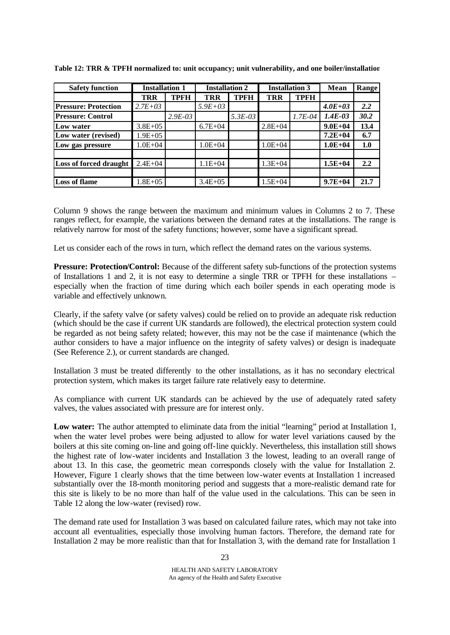| <b>Safety function</b>        | <b>Installation 1</b> |             | <b>Installation 2</b> |           | <b>Installation 3</b> |             | Mean        | Range |
|-------------------------------|-----------------------|-------------|-----------------------|-----------|-----------------------|-------------|-------------|-------|
|                               | <b>TRR</b>            | <b>TPFH</b> | <b>TRR</b>            | TPFH      | <b>TRR</b>            | <b>TPFH</b> |             |       |
| <b>Pressure: Protection</b>   | $2.7E + 03$           |             | $5.9E + 03$           |           |                       |             | $4.0E + 03$ | 2.2   |
| <b>Pressure: Control</b>      |                       | $2.9E-03$   |                       | $5.3E-03$ |                       | $1.7E-04$   | $1.4E-03$   | 30.2  |
| Low water                     | $3.8E + 0.5$          |             | $6.7E + 04$           |           | $2.8E + 04$           |             | $9.0E + 04$ | 13.4  |
| Low water (revised)           | $1.9E + 05$           |             |                       |           |                       |             | $7.2E + 04$ | 6.7   |
| Low gas pressure              | $1.0E + 04$           |             | $1.0E + 04$           |           | $1.0E + 04$           |             | $1.0E + 04$ | 1.0   |
|                               |                       |             |                       |           |                       |             |             |       |
| <b>Loss of forced draught</b> | $2.4E + 04$           |             | $1.1E + 04$           |           | $1.3E + 04$           |             | $1.5E + 04$ | 2.2   |
|                               |                       |             |                       |           |                       |             |             |       |
| <b>Loss of flame</b>          | $.8E + 05$            |             | $3.4E + 05$           |           | $1.5E + 04$           |             | $9.7E + 04$ | 21.7  |

**Table 12: TRR & TPFH normalized to: unit occupancy; unit vulnerability, and one boiler/installation**

Column 9 shows the range between the maximum and minimum values in Columns 2 to 7. These ranges reflect, for example, the variations between the demand rates at the installations. The range is relatively narrow for most of the safety functions; however, some have a significant spread.

Let us consider each of the rows in turn, which reflect the demand rates on the various systems.

**Pressure: Protection/Control:** Because of the different safety sub-functions of the protection systems of Installations 1 and 2, it is not easy to determine a single TRR or TPFH for these installations – especially when the fraction of time during which each boiler spends in each operating mode is variable and effectively unknown.

Clearly, if the safety valve (or safety valves) could be relied on to provide an adequate risk reduction (which should be the case if current UK standards are followed), the electrical protection system could be regarded as not being safety related; however, this may not be the case if maintenance (which the author considers to have a major influence on the integrity of safety valves) or design is inadequate (See Reference 2.), or current standards are changed.

Installation 3 must be treated differently to the other installations, as it has no secondary electrical protection system, which makes its target failure rate relatively easy to determine.

As compliance with current UK standards can be achieved by the use of adequately rated safety valves, the values associated with pressure are for interest only.

**Low water:** The author attempted to eliminate data from the initial "learning" period at Installation 1, when the water level probes were being adjusted to allow for water level variations caused by the boilers at this site coming on-line and going off-line quickly. Nevertheless, this installation still shows the highest rate of low-water incidents and Installation 3 the lowest, leading to an overall range of about 13. In this case, the geometric mean corresponds closely with the value for Installation 2. However, Figure 1 clearly shows that the time between low-water events at Installation 1 increased substantially over the 18-month monitoring period and suggests that a more-realistic demand rate for this site is likely to be no more than half of the value used in the calculations. This can be seen in Table 12 along the low-water (revised) row.

The demand rate used for Installation 3 was based on calculated failure rates, which may not take into account all eventualities, especially those involving human factors. Therefore, the demand rate for Installation 2 may be more realistic than that for Installation 3, with the demand rate for Installation 1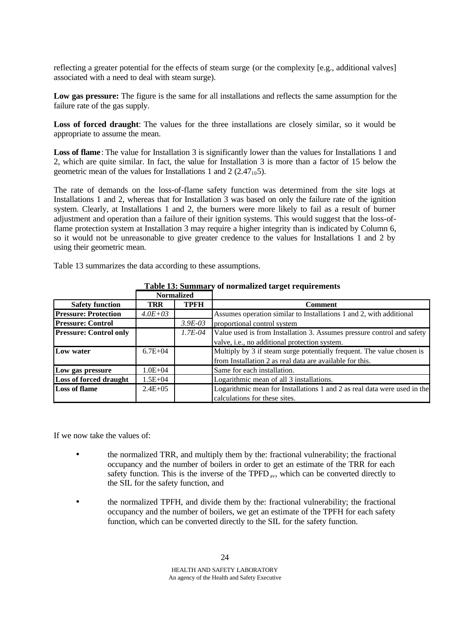reflecting a greater potential for the effects of steam surge (or the complexity [e.g., additional valves] associated with a need to deal with steam surge).

**Low gas pressure:** The figure is the same for all installations and reflects the same assumption for the failure rate of the gas supply.

**Loss of forced draught**: The values for the three installations are closely similar, so it would be appropriate to assume the mean.

**Loss of flame**: The value for Installation 3 is significantly lower than the values for Installations 1 and 2, which are quite similar. In fact, the value for Installation 3 is more than a factor of 15 below the geometric mean of the values for Installations 1 and 2  $(2.47<sub>10</sub>5)$ .

The rate of demands on the loss-of-flame safety function was determined from the site logs at Installations 1 and 2, whereas that for Installation 3 was based on only the failure rate of the ignition system. Clearly, at Installations 1 and 2, the burners were more likely to fail as a result of burner adjustment and operation than a failure of their ignition systems. This would suggest that the loss-offlame protection system at Installation 3 may require a higher integrity than is indicated by Column 6, so it would not be unreasonable to give greater credence to the values for Installations 1 and 2 by using their geometric mean.

Table 13 summarizes the data according to these assumptions.

|                               |              | 18010 101 DUMMINI 1 | of hormanded an get requirements                                         |  |  |
|-------------------------------|--------------|---------------------|--------------------------------------------------------------------------|--|--|
|                               |              | <b>Normalized</b>   |                                                                          |  |  |
| <b>Safety function</b>        | TRR          | <b>TPFH</b>         | Comment                                                                  |  |  |
| <b>Pressure: Protection</b>   | $4.0E + 03$  |                     | Assumes operation similar to Installations 1 and 2, with additional      |  |  |
| <b>Pressure: Control</b>      |              | $3.9E-03$           | proportional control system                                              |  |  |
| <b>Pressure: Control only</b> |              | $1.7E - 04$         | Value used is from Installation 3. Assumes pressure control and safety   |  |  |
|                               |              |                     | valve, i.e., no additional protection system.                            |  |  |
| Low water                     | $6.7E + 04$  |                     | Multiply by 3 if steam surge potentially frequent. The value chosen is   |  |  |
|                               |              |                     | from Installation 2 as real data are available for this.                 |  |  |
| Low gas pressure              | $1.0E + 04$  |                     | Same for each installation.                                              |  |  |
| <b>Loss of forced draught</b> | $1.5E + 04$  |                     | Logarithmic mean of all 3 installations.                                 |  |  |
| Loss of flame                 | $2.4E + 0.5$ |                     | Logarithmic mean for Installations 1 and 2 as real data were used in the |  |  |
|                               |              |                     | calculations for these sites.                                            |  |  |

**Table 13: Summary of normalized target requirements**

If we now take the values of:

- the normalized TRR, and multiply them by the: fractional vulnerability; the fractional occupancy and the number of boilers in order to get an estimate of the TRR for each safety function. This is the inverse of the TPFD<sub>av</sub>, which can be converted directly to the SIL for the safety function, and
- the normalized TPFH, and divide them by the: fractional vulnerability; the fractional occupancy and the number of boilers, we get an estimate of the TPFH for each safety function, which can be converted directly to the SIL for the safety function.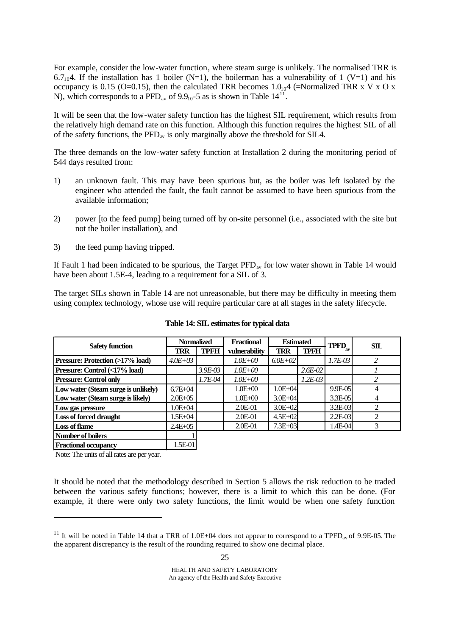For example, consider the low-water function, where steam surge is unlikely. The normalised TRR is 6.7<sub>10</sub>4. If the installation has 1 boiler (N=1), the boilerman has a vulnerability of 1 (V=1) and his occupancy is 0.15 (O=0.15), then the calculated TRR becomes  $1.0_{10}$ 4 (=Normalized TRR x V x O x N), which corresponds to a PFD<sub>av</sub> of 9.9<sub>10</sub>-5 as is shown in Table  $14^{11}$ .

It will be seen that the low-water safety function has the highest SIL requirement, which results from the relatively high demand rate on this function. Although this function requires the highest SIL of all of the safety functions, the  $\overline{PP}_{av}$  is only marginally above the threshold for SILA.

The three demands on the low-water safety function at Installation 2 during the monitoring period of 544 days resulted from:

- 1) an unknown fault. This may have been spurious but, as the boiler was left isolated by the engineer who attended the fault, the fault cannot be assumed to have been spurious from the available information;
- 2) power [to the feed pump] being turned off by on-site personnel (i.e., associated with the site but not the boiler installation), and
- 3) the feed pump having tripped.

If Fault 1 had been indicated to be spurious, the Target  $\text{PFD}_{av}$  for low water shown in Table 14 would have been about 1.5E-4, leading to a requirement for a SIL of 3.

The target SILs shown in Table 14 are not unreasonable, but there may be difficulty in meeting them using complex technology, whose use will require particular care at all stages in the safety lifecycle.

| <b>Safety function</b>              | <b>Normalized</b> |             | <b>Fractional</b> | <b>Estimated</b> |             | <b>TPFD</b> | $\mathbf{S}\mathbf{I}\mathbf{L}$ |
|-------------------------------------|-------------------|-------------|-------------------|------------------|-------------|-------------|----------------------------------|
|                                     | TRR               | <b>TPFH</b> | vulnerability     | TRR              | <b>TPFH</b> |             |                                  |
| Pressure: Protection (>17% load)    | $4.0E + 0.3$      |             | $1.0E + 00$       | $6.0E + 02$      |             | $1.7E - 03$ | $\mathfrak{D}$                   |
| Pressure: Control (<17% load)       |                   | $3.9E-03$   | $1.0E + 00$       |                  | $2.6E - 02$ |             |                                  |
| <b>Pressure: Control only</b>       |                   | 1.7E-04     | $1.0E + 00$       |                  | $1.2E - 03$ |             |                                  |
| Low water (Steam surge is unlikely) | $6.7E + 04$       |             | $1.0E + 00$       | $1.0E + 04$      |             | 9.9E-05     |                                  |
| Low water (Steam surge is likely)   | $2.0E + 0.5$      |             | $1.0E + 00$       | $3.0E + 04$      |             | 3.3E-05     |                                  |
| Low gas pressure                    | $.0E+04$          |             | 2.0E-01           | $3.0E + 02$      |             | 3.3E-03     |                                  |
| <b>Loss of forced draught</b>       | .5E+04            |             | 2.0E-01           | $4.5E + 02$      |             | 2.2E-03     |                                  |
| <b>Loss of flame</b>                | $2.4E + 05$       |             | 2.0E-01           | 7.3E+03          |             | 1.4E-04     |                                  |
| Number of boilers                   |                   |             |                   |                  |             |             |                                  |

#### **Table 14: SIL estimates for typical data**

Note: The units of all rates are per year.

l

**Fractional occupancy** 1.5E-01

It should be noted that the methodology described in Section 5 allows the risk reduction to be traded between the various safety functions; however, there is a limit to which this can be done. (For example, if there were only two safety functions, the limit would be when one safety function

<sup>&</sup>lt;sup>11</sup> It will be noted in Table 14 that a TRR of 1.0E+04 does not appear to correspond to a TPFD<sub>av</sub> of 9.9E-05. The the apparent discrepancy is the result of the rounding required to show one decimal place.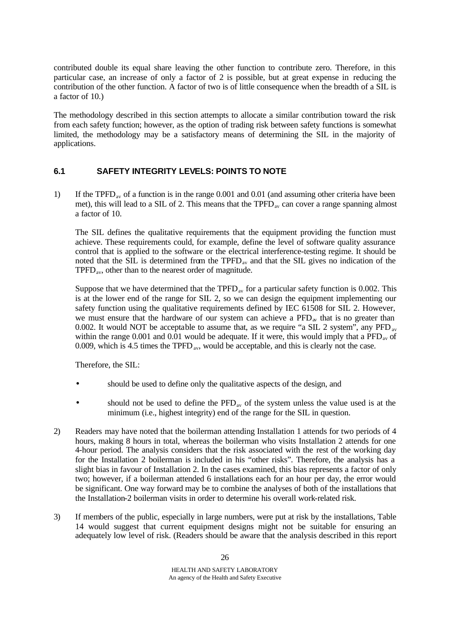contributed double its equal share leaving the other function to contribute zero. Therefore, in this particular case, an increase of only a factor of 2 is possible, but at great expense in reducing the contribution of the other function. A factor of two is of little consequence when the breadth of a SIL is a factor of 10.)

The methodology described in this section attempts to allocate a similar contribution toward the risk from each safety function; however, as the option of trading risk between safety functions is somewhat limited, the methodology may be a satisfactory means of determining the SIL in the majority of applications.

## **6.1 SAFETY INTEGRITY LEVELS: POINTS TO NOTE**

1) If the TPFD<sub>av</sub> of a function is in the range 0.001 and 0.01 (and assuming other criteria have been met), this will lead to a SIL of 2. This means that the  $TPFD_{av}$  can cover a range spanning almost a factor of 10.

The SIL defines the qualitative requirements that the equipment providing the function must achieve. These requirements could, for example, define the level of software quality assurance control that is applied to the software or the electrical interference-testing regime. It should be noted that the  $\overline{SIL}$  is determined from the  $TPFD_{av}$  and that the  $SIL$  gives no indication of the  $TPFD<sub>av</sub>$ , other than to the nearest order of magnitude.

Suppose that we have determined that the  $TPFD_{av}$  for a particular safety function is 0.002. This is at the lower end of the range for SIL 2, so we can design the equipment implementing our safety function using the qualitative requirements defined by IEC 61508 for SIL 2. However, we must ensure that the hardware of our system can achieve a  $\text{PFD}_{av}$  that is no greater than 0.002. It would NOT be acceptable to assume that, as we require "a SIL 2 system", any  $PFD_{av}$ within the range 0.001 and 0.01 would be adequate. If it were, this would imply that a  $\overline{PFD}_{av}$  of 0.009, which is 4.5 times the  $TPTD_{av}$ , would be acceptable, and this is clearly not the case.

Therefore, the SIL:

- should be used to define only the qualitative aspects of the design, and
- should not be used to define the  $\rm{PFD}_{av}$  of the system unless the value used is at the minimum (i.e., highest integrity) end of the range for the SIL in question.
- 2) Readers may have noted that the boilerman attending Installation 1 attends for two periods of 4 hours, making 8 hours in total, whereas the boilerman who visits Installation 2 attends for one 4-hour period. The analysis considers that the risk associated with the rest of the working day for the Installation 2 boilerman is included in his "other risks". Therefore, the analysis has a slight bias in favour of Installation 2. In the cases examined, this bias represents a factor of only two; however, if a boilerman attended 6 installations each for an hour per day, the error would be significant. One way forward may be to combine the analyses of both of the installations that the Installation-2 boilerman visits in order to determine his overall work-related risk.
- 3) If members of the public, especially in large numbers, were put at risk by the installations, Table 14 would suggest that current equipment designs might not be suitable for ensuring an adequately low level of risk. (Readers should be aware that the analysis described in this report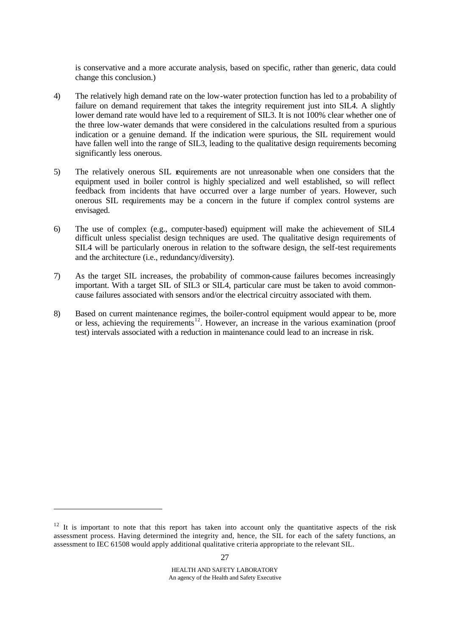is conservative and a more accurate analysis, based on specific, rather than generic, data could change this conclusion.)

- 4) The relatively high demand rate on the low-water protection function has led to a probability of failure on demand requirement that takes the integrity requirement just into SILA. A slightly lower demand rate would have led to a requirement of SIL3. It is not 100% clear whether one of the three low-water demands that were considered in the calculations resulted from a spurious indication or a genuine demand. If the indication were spurious, the SIL requirement would have fallen well into the range of SIL3, leading to the qualitative design requirements becoming significantly less onerous.
- 5) The relatively onerous SIL requirements are not unreasonable when one considers that the equipment used in boiler control is highly specialized and well established, so will reflect feedback from incidents that have occurred over a large number of years. However, such onerous SIL requirements may be a concern in the future if complex control systems are envisaged.
- 6) The use of complex (e.g., computer-based) equipment will make the achievement of SIL4 difficult unless specialist design techniques are used. The qualitative design requirements of SIL4 will be particularly onerous in relation to the software design, the self-test requirements and the architecture (i.e., redundancy/diversity).
- 7) As the target SIL increases, the probability of common-cause failures becomes increasingly important. With a target SIL of SIL3 or SIL4, particular care must be taken to avoid commoncause failures associated with sensors and/or the electrical circuitry associated with them.
- 8) Based on current maintenance regimes, the boiler-control equipment would appear to be, more or less, achieving the requirements<sup>12</sup>. However, an increase in the various examination (proof test) intervals associated with a reduction in maintenance could lead to an increase in risk.

l

 $12$  It is important to note that this report has taken into account only the quantitative aspects of the risk assessment process. Having determined the integrity and, hence, the SIL for each of the safety functions, an assessment to IEC 61508 would apply additional qualitative criteria appropriate to the relevant SIL.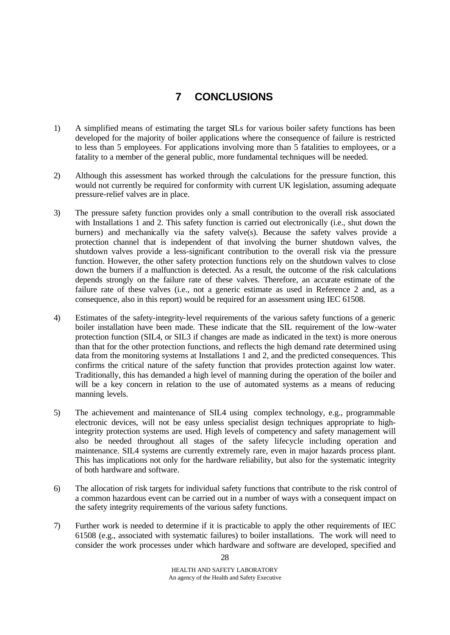# **7 CONCLUSIONS**

- 1) A simplified means of estimating the target SILs for various boiler safety functions has been developed for the majority of boiler applications where the consequence of failure is restricted to less than 5 employees. For applications involving more than 5 fatalities to employees, or a fatality to a member of the general public, more fundamental techniques will be needed.
- 2) Although this assessment has worked through the calculations for the pressure function, this would not currently be required for conformity with current UK legislation, assuming adequate pressure-relief valves are in place.
- 3) The pressure safety function provides only a small contribution to the overall risk associated with Installations 1 and 2. This safety function is carried out electronically (i.e., shut down the burners) and mechanically via the safety valve(s). Because the safety valves provide a protection channel that is independent of that involving the burner shutdown valves, the shutdown valves provide a less-significant contribution to the overall risk via the pressure function. However, the other safety protection functions rely on the shutdown valves to close down the burners if a malfunction is detected. As a result, the outcome of the risk calculations depends strongly on the failure rate of these valves. Therefore, an accurate estimate of the failure rate of these valves (i.e., not a generic estimate as used in Reference 2 and, as a consequence, also in this report) would be required for an assessment using IEC 61508.
- 4) Estimates of the safety-integrity-level requirements of the various safety functions of a generic boiler installation have been made. These indicate that the SIL requirement of the low-water protection function (SIL4, or SIL3 if changes are made as indicated in the text) is more onerous than that for the other protection functions, and reflects the high demand rate determined using data from the monitoring systems at Installations 1 and 2, and the predicted consequences. This confirms the critical nature of the safety function that provides protection against low water. Traditionally, this has demanded a high level of manning during the operation of the boiler and will be a key concern in relation to the use of automated systems as a means of reducing manning levels.
- 5) The achievement and maintenance of SIL4 using complex technology, e.g., programmable electronic devices, will not be easy unless specialist design techniques appropriate to highintegrity protection systems are used. High levels of competency and safety management will also be needed throughout all stages of the safety lifecycle including operation and maintenance. SIL4 systems are currently extremely rare, even in major hazards process plant. This has implications not only for the hardware reliability, but also for the systematic integrity of both hardware and software.
- 6) The allocation of risk targets for individual safety functions that contribute to the risk control of a common hazardous event can be carried out in a number of ways with a consequent impact on the safety integrity requirements of the various safety functions.
- 7) Further work is needed to determine if it is practicable to apply the other requirements of IEC 61508 (e.g., associated with systematic failures) to boiler installations. The work will need to consider the work processes under which hardware and software are developed, specified and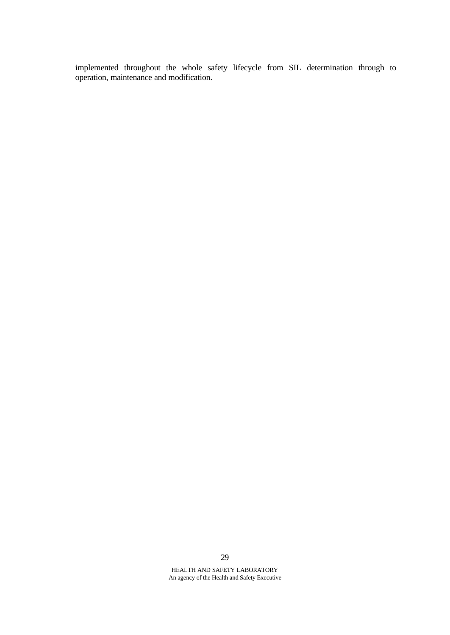implemented throughout the whole safety lifecycle from SIL determination through to operation, maintenance and modification.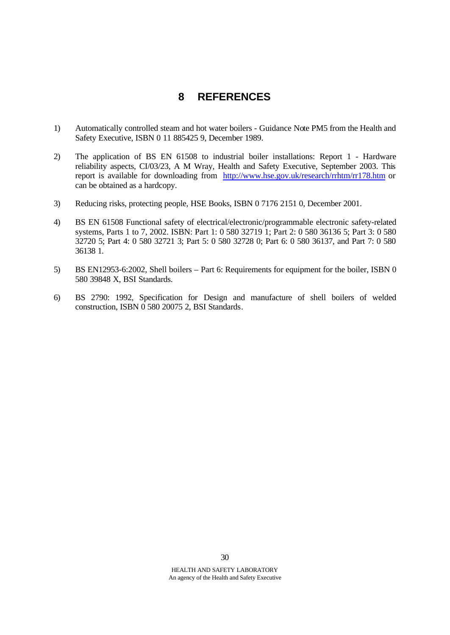## **8 REFERENCES**

- 1) Automatically controlled steam and hot water boilers Guidance Note PM5 from the Health and Safety Executive, ISBN 0 11 885425 9, December 1989.
- 2) The application of BS EN 61508 to industrial boiler installations: Report 1 Hardware reliability aspects, CI/03/23, A M Wray, Health and Safety Executive, September 2003. This report is available for downloading from http://www.hse.gov.uk/research/rrhtm/rr178.htm or can be obtained as a hardcopy.
- 3) Reducing risks, protecting people, HSE Books, ISBN 0 7176 2151 0, December 2001.
- 4) BS EN 61508 Functional safety of electrical/electronic/programmable electronic safety-related systems, Parts 1 to 7, 2002. ISBN: Part 1: 0 580 32719 1; Part 2: 0 580 36136 5; Part 3: 0 580 32720 5; Part 4: 0 580 32721 3; Part 5: 0 580 32728 0; Part 6: 0 580 36137, and Part 7: 0 580 36138 1.
- 5) BS EN12953-6:2002, Shell boilers Part 6: Requirements for equipment for the boiler, ISBN 0 580 39848 X, BSI Standards.
- 6) BS 2790: 1992, Specification for Design and manufacture of shell boilers of welded construction, ISBN 0 580 20075 2, BSI Standards.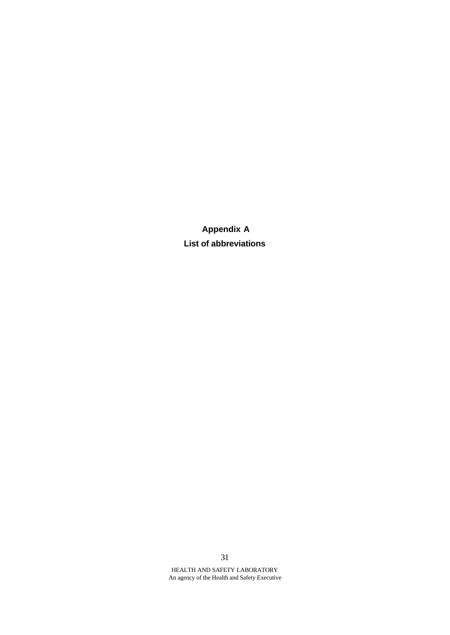**Appendix A List of abbreviations**